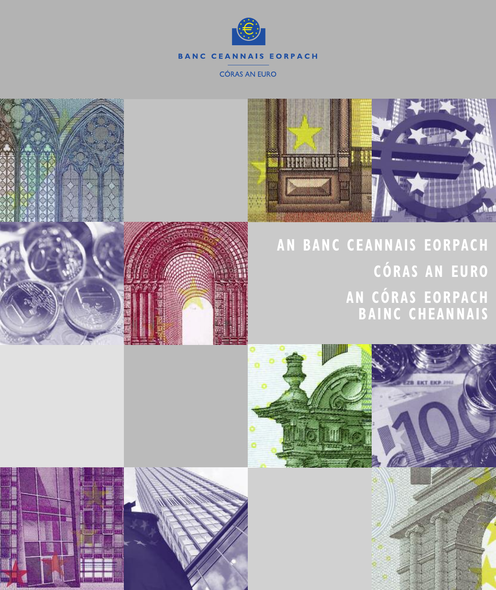



## **AN BANC CEANNAI S EORPACH CÓRAS AN EURO AN CÓRAS EORPACH BAINC CHEANNAI S**



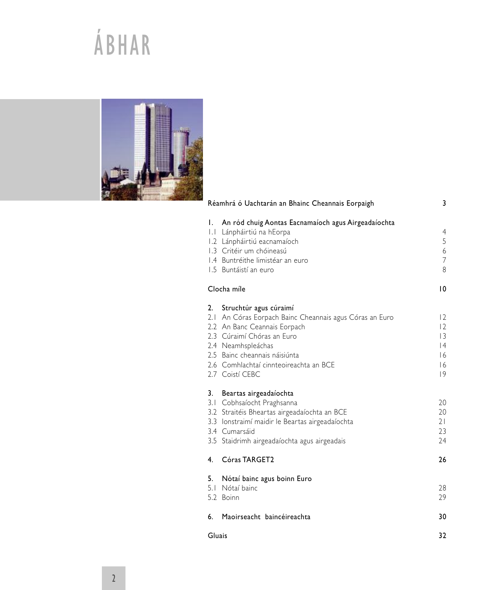# ÁBHAR



|                | Réamhrá ó Uachtarán an Bhainc Cheannais Eorpaigh                                                                                                                                                                                                                       | 3                                                 |
|----------------|------------------------------------------------------------------------------------------------------------------------------------------------------------------------------------------------------------------------------------------------------------------------|---------------------------------------------------|
|                | I. An ród chuig Aontas Eacnamaíoch agus Airgeadaíochta<br>I.I Lánpháirtiú na hEorpa<br>1.2 Lánpháirtiú eacnamaíoch<br>1.3 Critéir um chóineasú<br>1.4 Buntréithe limistéar an euro<br>1.5 Buntáistí an euro                                                            | $\overline{4}$<br>5<br>6<br>$\overline{7}$<br>8   |
|                | Clocha míle                                                                                                                                                                                                                                                            | $\overline{10}$                                   |
|                | 2. Struchtúr agus cúraimí<br>2.1 An Córas Eorpach Bainc Cheannais agus Córas an Euro<br>2.2 An Banc Ceannais Eorpach<br>2.3 Cúraimí Chóras an Euro<br>2.4 Neamhspleáchas<br>2.5 Bainc cheannais náisiúnta<br>2.6 Comhlachtaí cinnteoireachta an BCE<br>2.7 Coistí CEBC | 2<br> 2<br>$\overline{3}$<br> 4<br> 6<br> 6<br> 9 |
|                | 3. Beartas airgeadaíochta<br>3.1 Cobhsaíocht Praghsanna<br>3.2 Straitéis Bheartas airgeadaíochta an BCE<br>3.3 Ionstraimí maidir le Beartas airgeadaíochta<br>3.4 Cumarsáid<br>3.5 Staidrimh airgeadaíochta agus airgeadais                                            | 20<br>20<br>21<br>23<br>24                        |
| 4 <sup>1</sup> | Córas TARGET2                                                                                                                                                                                                                                                          | 26                                                |
| 5.             | Nótaí bainc agus boinn Euro<br>5.1 Nótaí bainc<br>5.2 Boinn                                                                                                                                                                                                            | 28<br>29                                          |
| 6.             | Maoirseacht baincéireachta                                                                                                                                                                                                                                             | 30                                                |
|                |                                                                                                                                                                                                                                                                        |                                                   |

Gluais 32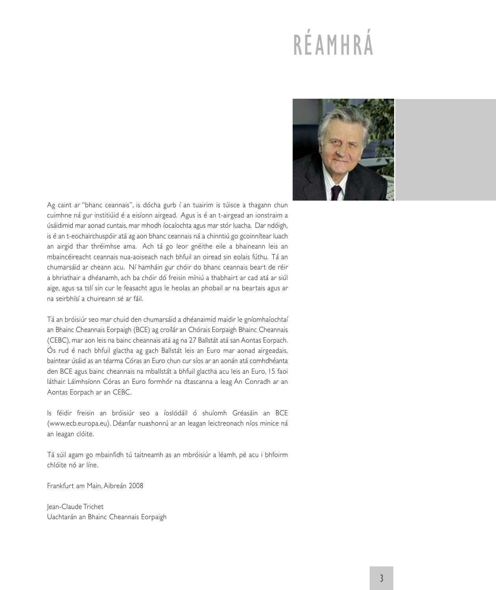# RÉAMHRÁ



Ag caint ar "bhanc ceannais", is dócha gurb í an tuairim is túisce a thagann chun cuimhne ná gur institiúid é a eisíonn airgead. Agus is é an t-airgead an ionstraim a úsáidimid mar aonad cuntais, mar mhodh íocaíochta agus mar stór luacha. Dar ndóigh, is é an t-eochairchuspóir atá ag aon bhanc ceannais ná a chinntiú go gcoinnítear luach an airgid thar thréimhse ama. Ach tá go leor gnéithe eile a bhaineann leis an mbaincéireacht ceannais nua-aoiseach nach bhfuil an oiread sin eolais fúthu. Tá an chumarsáid ar cheann acu. Ní hamháin gur chóir do bhanc ceannais beart de réir a bhriathair a dhéanamh, ach ba chóir dó freisin míniú a thabhairt ar cad atá ar siúl aige, agus sa tslí sin cur le feasacht agus le heolas an phobail ar na beartais agus ar na seirbhísí a chuireann sé ar fáil.

Tá an bróisiúr seo mar chuid den chumarsáid a dhéanaimid maidir le gníomhaíochtaí an Bhainc Cheannais Eorpaigh (BCE) ag croílár an Chórais Eorpaigh Bhainc Cheannais (CEBC), mar aon leis na bainc cheannais atá ag na 27 Ballstát atá san Aontas Eorpach. Ós rud é nach bhfuil glactha ag gach Ballstát leis an Euro mar aonad airgeadais, baintear úsáid as an téarma Córas an Euro chun cur síos ar an aonán atá comhdhéanta den BCE agus bainc cheannais na mballstát a bhfuil glactha acu leis an Euro, 15 faoi láthair. Láimhsíonn Córas an Euro formhór na dtascanna a leag An Conradh ar an Aontas Eorpach ar an CEBC.

Is féidir freisin an bróisiúr seo a íoslódáil ó shuíomh Gréasáin an BCE (www.ecb.europa.eu). Déanfar nuashonrú ar an leagan leictreonach níos minice ná an leagan clóite.

Tá súil agam go mbainfidh tú taitneamh as an mbróisiúr a léamh, pé acu i bhfoirm chlóite nó ar líne.

Frankfurt am Main, Aibreán 2008

Jean-Claude Trichet Uachtarán an Bhainc Cheannais Eorpaigh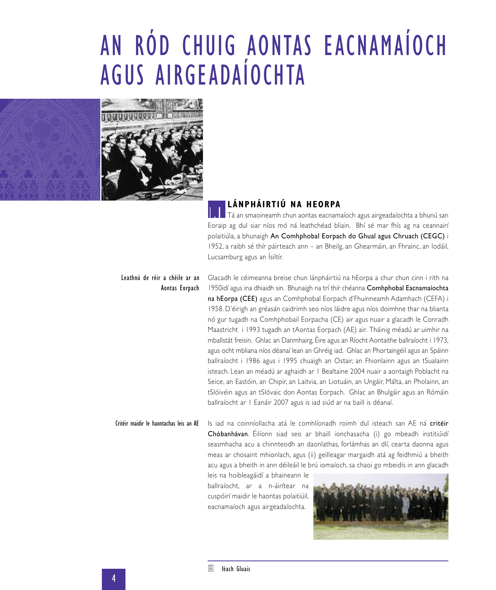# AN RÓD CHUIG AONTAS EACNAMAÍOCH AGUS AIRGEADAÍOCHTA



### **LÁNPHÁIRTIÚ NA HEORPA**

**1.1.** Tá an smaoineamh chun aontas eacnamaíoch agus airgeadaíochta a bhunú san Eoraip ag dul siar níos mó ná leathchéad bliain. Bhí sé mar fhís ag na ceannairí polaitiúla, a bhunaigh An Comhphobal Eorpach do Ghual agus Chruach (CEGC) i 1952, a raibh sé thír páirteach ann – an Bheilg, an Ghearmáin, an Fhrainc, an Iodáil, Lucsamburg agus an Ísiltír.

#### Leathnú de réir a chéile ar an Aontas Eorpach

Glacadh le céimeanna breise chun lánpháirtiú na hEorpa a chur chun cinn i rith na 1950idí agus ina dhiaidh sin. Bhunaigh na trí thír chéanna Comhphobal Eacnamaíochta na hEorpa (CEE) agus an Comhphobal Eorpach d'Fhuinneamh Adamhach (CEFA) i 1958. D'éirigh an gréasán caidrimh seo níos láidre agus níos doimhne thar na blianta nó gur tugadh na Comhphobail Eorpacha (CE) air agus nuair a glacadh le Conradh Maastricht i 1993 tugadh an tAontas Eorpach (AE) air. Tháinig méadú ar uimhir na mballstát freisin. Ghlac an Danmhairg, Éire agus an Ríocht Aontaithe ballraíocht i 1973, agus ocht mbliana níos déanaí lean an Ghréig iad. Ghlac an Phortaingéil agus an Spáinn ballraíocht i 1986 agus i 1995 chuaigh an Ostair, an Fhionlainn agus an tSualainn isteach. Lean an méadú ar aghaidh ar 1 Bealtaine 2004 nuair a aontaigh Poblacht na Seice, an Eastóin, an Chipir, an Laitvia, an Liotuáin, an Ungáir, Málta, an Pholainn, an tSlóivéin agus an tSlóvaic don Aontas Eorpach. Ghlac an Bhulgáir agus an Rómáin ballraíocht ar 1 Eanáir 2007 agus is iad siúd ar na baill is déanaí.

Is iad na coinníollacha atá le comhlíonadh roimh dul isteach san AE ná critéir Chóbanhávan. Éilíonn siad seo ar bhaill ionchasacha (i) go mbeadh institiúidí seasmhacha acu a chinnteodh an daonlathas, forlámhas an dlí, cearta daonna agus meas ar chosaint mhionlach, agus (ii) geilleagar margaidh atá ag feidhmiú a bheith acu agus a bheith in ann déileáil le brú iomaíoch, sa chaoi go mbeidís in ann glacadh Critéir maidir le haontachas leis an AE

leis na hoibleagáidí a bhaineann le ballraíocht, ar a n-áirítear na cuspóirí maidir le haontas polaitiúil, eacnamaíoch agus airgeadaíochta.

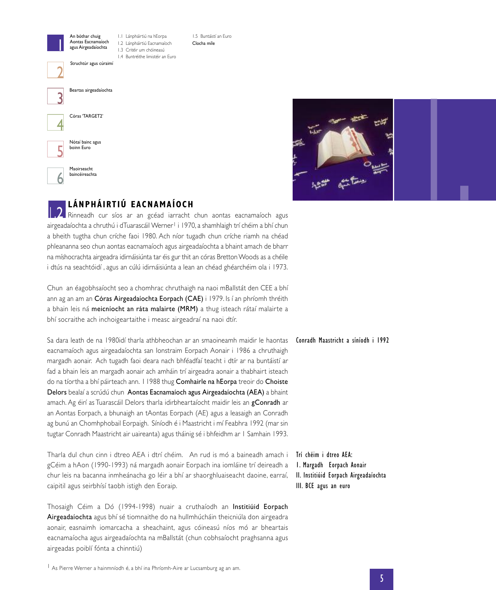



### **LÁNPHÁIRTIÚ EACNAMAÍOCH**

Rinneadh cur síos ar an gcéad iarracht chun aontas eacnamaíoch agus airgeadaíochta a chruthú i dTuarascáil Werner<sup>1</sup> i 1970, a shamhlaigh trí chéim a bhí chun a bheith tugtha chun críche faoi 1980. Ach níor tugadh chun críche riamh na chéad phleananna seo chun aontas eacnamaíoch agus airgeadaíochta a bhaint amach de bharr na míshocrachta airgeadra idirnáisiúnta tar éis gur thit an córas BrettonWoods as a chéile i dtús na seachtóidí , agus an cúlú idirnáisiúnta a lean an chéad ghéarchéim ola i 1973.

Chun an éagobhsaíocht seo a chomhrac chruthaigh na naoi mBallstát den CEE a bhí ann ag an am an Córas Airgeadaíochta Eorpach (CAE) i 1979. Is í an phríomh thréith a bhain leis ná meicníocht an ráta malairte (MRM) a thug isteach rátaí malairte a bhí socraithe ach inchoigeartaithe i measc airgeadraí na naoi dtír.

Sa dara leath de na 1980idí tharla athbheochan ar an smaoineamh maidir le haontas eacnamaíoch agus airgeadaíochta san Ionstraim Eorpach Aonair i 1986 a chruthaigh margadh aonair. Ach tugadh faoi deara nach bhféadfaí teacht i dtír ar na buntáistí ar fad a bhain leis an margadh aonair ach amháin trí airgeadra aonair a thabhairt isteach do na tíortha a bhí páirteach ann. I 1988 thug Comhairle na hEorpa treoir do Choiste Delors bealaí a scrúdú chun Aontas Eacnamaíoch agus Airgeadaíochta (AEA) a bhaint amach. Ag éirí as Tuarascáil Delors tharla idirbheartaíocht maidir leis an gConradh ar an Aontas Eorpach, a bhunaigh an tAontas Eorpach (AE) agus a leasaigh an Conradh ag bunú an Chomhphobail Eorpaigh. Síníodh é i Maastricht i mí Feabhra 1992 (mar sin tugtar Conradh Maastricht air uaireanta) agus tháinig sé i bhfeidhm ar 1 Samhain 1993.

Tharla dul chun cinn i dtreo AEA i dtrí chéim. An rud is mó a baineadh amach i gCéim a hAon (1990-1993) ná margadh aonair Eorpach ina iomláine trí deireadh a chur leis na bacanna inmheánacha go léir a bhí ar shaorghluaiseacht daoine, earraí, caipitil agus seirbhísí taobh istigh den Eoraip.

Thosaigh Céim a Dó (1994-1998) nuair a cruthaíodh an Institiúid Eorpach Airgeadaíochta agus bhí sé tiomnaithe do na hullmhúcháin theicniúla don airgeadra aonair, easnaimh iomarcacha a sheachaint, agus cóineasú níos mó ar bheartais eacnamaíocha agus airgeadaíochta na mBallstát (chun cobhsaíocht praghsanna agus airgeadas poiblí fónta a chinntiú)

Conradh Maastricht a síníodh i 1992

Trí chéim i dtreo AEA: 1. Margadh Eorpach Aonair II. Institiúid Eorpach Airgeadaíochta III. BCE agus an euro

1 As Pierre Werner a hainmníodh é, a bhí ina Phríomh-Aire ar Lucsamburg ag an am.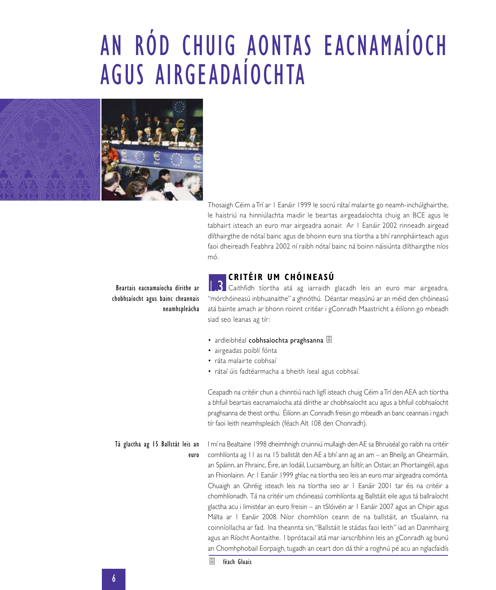# AN RÓD CHUIG AONTAS EACNAMAÍOCH AGUS AIRGEADAÍOCHTA



Thosaigh Céim a Trí ar 1 Eanáir 1999 le socrú rátaí malairte go neamh-inchúlghairthe, le haistriú na hinniúlachta maidir le beartas airgeadaíochta chuig an BCE agus le tabhairt isteach an euro mar airgeadra aonair. Ar 1 Eanáir 2002 rinneadh airgead dlíthairgthe de nótaí bainc agus de bhoinn euro sna tíortha a bhí rannpháirteach agus faoi dheireadh Feabhra 2002 ní raibh nótaí bainc ná boinn náisiúnta dlíthairgthe níos mó.

### **CRITÉIR UM CHÓINEASÚ**

Caithfidh tíortha atá ag iarraidh glacadh leis an euro mar airgeadra, "mórchóineasú inbhuanaithe" a ghnóthú. Déantar measúnú ar an méid den chóineasú atá bainte amach ar bhonn roinnt critéar i gConradh Maastricht a éilíonn go mbeadh siad seo leanas ag tír: 1.3

- ardleibhéal cobhsaíochta praghsanna <sup>■</sup>
- airgeadas poiblí fónta
- ráta malairte cobhsaí
- rátaí úis fadtéarmacha a bheith íseal agus cobhsaí.

Ceapadh na critéir chun a chinntiú nach ligfí isteach chuig Céim aTrí den AEA ach tíortha a bhfuil beartais eacnamaíocha atá dírithe ar chobhsaíocht acu agus a bhfuil cobhsaíocht praghsanna de theist orthu. Éilíonn an Conradh freisin go mbeadh an banc ceannais i ngach tír faoi leith neamhspleách (féach Alt 108 den Chonradh).

I mí na Bealtaine 1998 dheimhnigh cruinniú mullaigh den AE sa Bhruiséal go raibh na critéir comhlíonta ag 11 as na 15 ballstát den AE a bhí ann ag an am – an Bheilg, an Ghearmáin, an Spáinn, an Fhrainc, Éire, an Iodáil, Lucsamburg, an Ísiltír, an Ostair, an Phortaingéil, agus an Fhionlainn. Ar 1 Eanáir 1999 ghlac na tíortha seo leis an euro mar airgeadra comónta. Chuaigh an Ghréig isteach leis na tíortha seo ar 1 Eanáir 2001 tar éis na critéir a chomhlíonadh. Tá na critéir um chóineasú comhlíonta ag Ballstáit eile agus tá ballraíocht glactha acu i limistéar an euro freisin – an tSlóivéin ar 1 Eanáir 2007 agus an Chipir agus Málta ar 1 Eanáir 2008. Níor chomhlíon ceann de na ballstáit, an tSualainn, na coinníollacha ar fad. Ina theannta sin,"Ballstáit le stádas faoi leith" iad an Danmhairg agus an Ríocht Aontaithe. I bprótacail atá mar iarscríbhinn leis an gConradh ag bunú an Chomhphobail Eorpaigh, tugadh an ceart don dá thír a roghnú pé acu an nglacfaidís Tá glactha ag 15 Ballstát leis an euro

Beartais eacnamaíocha dírithe ar chobhsaíocht agus bainc cheannais neamhspleácha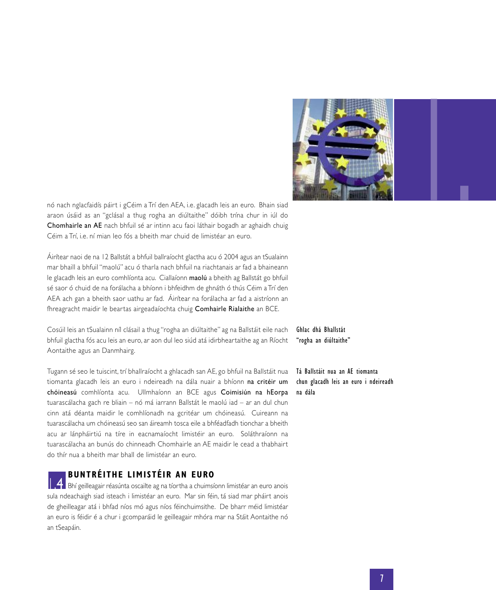

nó nach nglacfaidís páirt i gCéim a Trí den AEA, i.e. glacadh leis an euro. Bhain siad Chomhairle an AE nach bhfuil sé ar intinn acu faoi láthair bogadh ar aghaidh chuig Céim a Trí, i.e. ní mian leo fós a bheith mar chuid de limistéar an euro.

Áirítear naoi de na 12 Ballstát a bhfuil ballraíocht glactha acu ó 2004 agus an tSualainn mar bhaill a bhfuil "maolú" acu ó tharla nach bhfuil na riachtanais ar fad a bhaineann le glacadh leis an euro comhlíonta acu. Ciallaíonn maolú a bheith ag Ballstát go bhfuil sé saor ó chuid de na forálacha a bhíonn i bhfeidhm de ghnáth ó thús Céim a Trí den AEA ach gan a bheith saor uathu ar fad. Áirítear na forálacha ar fad a aistríonn an fhreagracht maidir le beartas airgeadaíochta chuig Comhairle Rialaithe an BCE.

Cosúil leis an tSualainn níl clásail a thug "rogha an diúltaithe" ag na Ballstáit eile nach bhfuil glactha fós acu leis an euro, ar aon dul leo siúd atá idirbheartaithe ag an Ríocht Aontaithe agus an Danmhairg.

Tugann sé seo le tuiscint, trí bhallraíocht a ghlacadh san AE, go bhfuil na Ballstáit nua tiomanta glacadh leis an euro i ndeireadh na dála nuair a bhíonn na critéir um chóineasú comhlíonta acu. Ullmhaíonn an BCE agus Coimisiún na hEorpa tuarascálacha gach re bliain – nó má iarrann Ballstát le maolú iad – ar an dul chun cinn atá déanta maidir le comhlíonadh na gcritéar um chóineasú. Cuireann na tuarascálacha um chóineasú seo san áireamh tosca eile a bhféadfadh tionchar a bheith acu ar lánpháirtiú na tíre in eacnamaíocht limistéir an euro. Soláthraíonn na tuarascálacha an bunús do chinneadh Chomhairle an AE maidir le cead a thabhairt do thír nua a bheith mar bhall de limistéar an euro.

### **BUNTRÉITHE LIMI STÉIR AN EURO**

Bhí geilleagair réasúnta oscailte ag na tíortha a chuimsíonn limistéar an euro anois sula ndeachaigh siad isteach i limistéar an euro. Mar sin féin, tá siad mar pháirt anois de gheilleagar atá i bhfad níos mó agus níos féinchuimsithe. De bharr méid limistéar an euro is féidir é a chur i gcomparáid le geilleagair mhóra mar na Stáit Aontaithe nó an tSeapáin.

Ghlac dhá Bhallstát "rogha an diúltaithe"

Tá Ballstáit nua an AE tiomanta chun glacadh leis an euro i ndeireadh na dála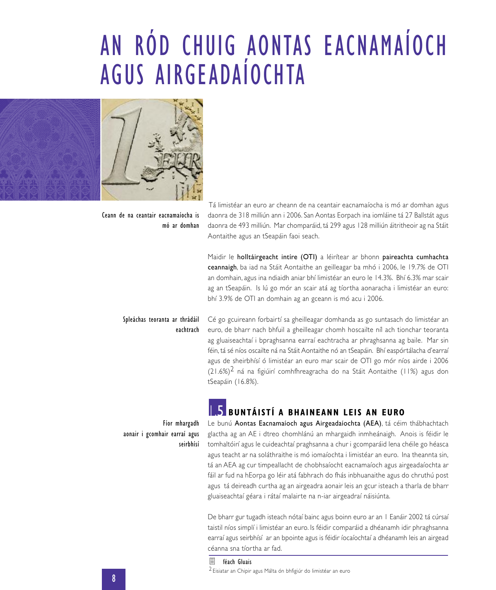## AN RÓD CHUIG AONTAS EACNAMAÍOCH AGUS AIRGEADAÍOCHTA



Ceann de na ceantair eacnamaíocha is mó ar domhan

Tá limistéar an euro ar cheann de na ceantair eacnamaíocha is mó ar domhan agus daonra de 318 milliún ann i 2006. San Aontas Eorpach ina iomláine tá 27 Ballstát agus daonra de 493 milliún. Mar chomparáid, tá 299 agus 128 milliún áitritheoir ag na Stáit Aontaithe agus an tSeapáin faoi seach.

Maidir le holltáirgeacht intíre (OTI) a léirítear ar bhonn paireachta cumhachta ceannaigh, ba iad na Stáit Aontaithe an geilleagar ba mhó i 2006, le 19.7% de OTI an domhain, agus ina ndiaidh aniar bhí limistéar an euro le 14.3%. Bhí 6.3% mar scair ag an tSeapáin. Is lú go mór an scair atá ag tíortha aonaracha i limistéar an euro: bhí 3.9% de OTI an domhain ag an gceann is mó acu i 2006.

#### Spleáchas teoranta ar thrádáil eachtrach

Cé go gcuireann forbairtí sa gheilleagar domhanda as go suntasach do limistéar an euro, de bharr nach bhfuil a gheilleagar chomh hoscailte níl ach tionchar teoranta ag gluaiseachtaí i bpraghsanna earraí eachtracha ar phraghsanna ag baile. Mar sin féin, tá sé níos oscailte ná na Stáit Aontaithe nó an tSeapáin. Bhí easpórtálacha d'earraí agus de sheirbhísí ó limistéar an euro mar scair de OTI go mór níos airde i 2006  $(21.6%)^2$  ná na figiúirí comhfhreagracha do na Stáit Aontaithe (11%) agus don tSeapáin (16.8%).

### **BUNTÁISTÍ A BHAINEANN LEIS AN EURO**

Fíor mhargadh aonair i gcomhair earraí agus seirbhísí Le bunú Aontas Eacnamaíoch agus Airgeadaíochta (AEA), tá céim thábhachtach glactha ag an AE i dtreo chomhlánú an mhargaidh inmheánaigh. Anois is féidir le tomhaltóirí agus le cuideachtaí praghsanna a chur i gcomparáid lena chéile go héasca agus teacht ar na soláthraithe is mó iomaíochta i limistéar an euro. Ina theannta sin, tá an AEA ag cur timpeallacht de chobhsaíocht eacnamaíoch agus airgeadaíochta ar fáil ar fud na hEorpa go léir atá fabhrach do fhás inbhuanaithe agus do chruthú post agus tá deireadh curtha ag an airgeadra aonair leis an gcur isteach a tharla de bharr gluaiseachtaí géara i rátaí malairte na n-iar airgeadraí náisiúnta.

De bharr gur tugadh isteach nótaí bainc agus boinn euro ar an 1 Eanáir 2002 tá cúrsaí taistil níos simplí i limistéar an euro. Is féidir comparáid a dhéanamh idir phraghsanna earraí agus seirbhísí ar an bpointe agus is féidir íocaíochtaí a dhéanamh leis an airgead céanna sna tíortha ar fad.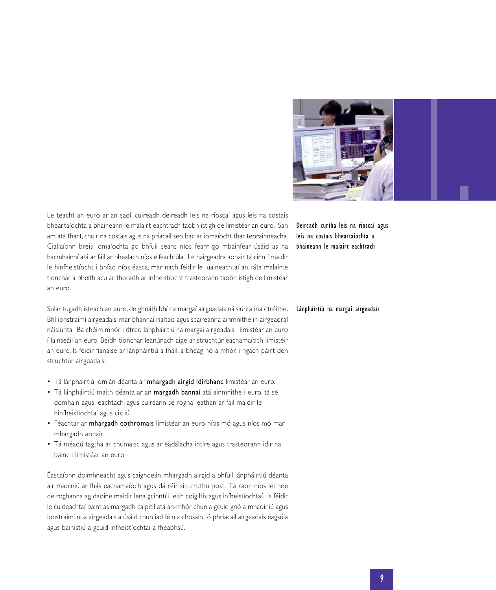

Le teacht an euro ar an saol, cuireadh deireadh leis na rioscaí agus leis na costais bheartaíochta a bhaineann le malairt eachtrach taobh istigh de limistéar an euro. San am atá thart, chuir na costais agus na priacail seo bac ar iomaíocht thar teorainneacha. Ciallaíonn breis iomaíochta go bhfuil seans níos fearr go mbainfear úsáid as na hacmhainní atá ar fáil ar bhealach níos éifeachtúla. Le hairgeadra aonair, tá cinntí maidir le hinfheistíocht i bhfad níos éasca, mar nach féidir le luaineachtaí an ráta malairte tionchar a bheith acu ar thoradh ar infheistíocht trasteorann taobh istigh de limistéar an euro.

Sular tugadh isteach an euro, de ghnáth bhí na margaí airgeadais náisiúnta ina dtréithe. Bhí ionstraimí airgeadais, mar bhannaí rialtais agus scaireanna ainmnithe in airgeadraí náisiúnta. Ba chéim mhór i dtreo lánpháirtiú na margaí airgeadais i limistéar an euro í lainseáil an euro. Beidh tionchar leanúnach aige ar struchtúr eacnamaíoch limistéir an euro. Is féidir fianaise ar lánpháirtiú a fháil, a bheag nó a mhór, i ngach páirt den struchtúr airgeadais:

- Tá lánpháirtiú iomlán déanta ar mhargadh airgid idirbhanc limistéar an euro.
- Tá lánpháirtiú maith déanta ar an margadh bannaí atá ainmnithe i euro, tá sé domhain agus leachtach, agus cuireann sé rogha leathan ar fáil maidir le hinfheistíochtaí agus cistiú.
- Féachtar ar mhargadh cothromais limistéar an euro níos mó agus níos mó mar mhargadh aonair.
- Tá méadú tagtha ar chumaisc agus ar éadálacha intíre agus trasteorann idir na bainc i limistéar an euro

Éascaíonn doimhneacht agus caighdeán mhargadh airgid a bhfuil lánpháirtiú déanta air maoiniú ar fhás eacnamaíoch agus dá réir sin cruthú post. Tá raon níos leithne de roghanna ag daoine maidir lena gcinntí i leith coigiltis agus infheistíochtaí. Is féidir le cuideachtaí baint as margadh caipitil atá an-mhór chun a gcuid gnó a mhaoiniú agus ionstraimí nua airgeadais a úsáid chun iad féin a chosaint ó phriacail airgeadais éagsúla agus bainistiú a gcuid infheistíochtaí a fheabhsú.

Deireadh curtha leis na rioscaí agus leis na costais bheartaíochta a bhaineann le malairt eachtrach

#### Lánpháirtiú na margaí airgeadais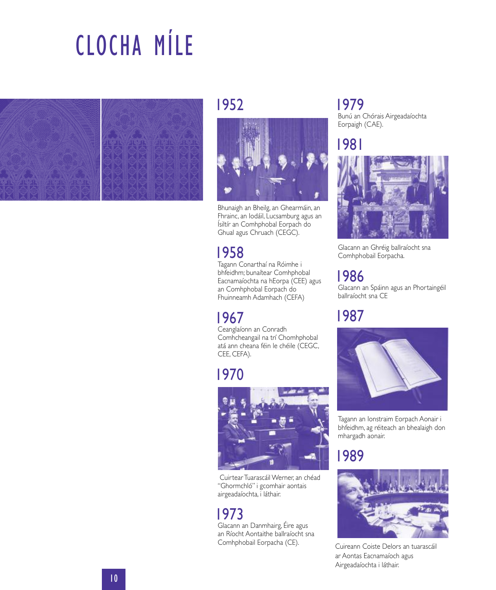# CLOCHA MÍLE



### 1952



Bhunaigh an Bheilg, an Ghearmáin, an Fhrainc, an Iodáil, Lucsamburg agus an Ísiltír an Comhphobal Eorpach do Ghual agus Chruach (CEGC).

## 1958

Tagann Conarthaí na Róimhe i bhfeidhm; bunaítear Comhphobal Eacnamaíochta na hEorpa (CEE) agus an Comhphobal Eorpach do Fhuinneamh Adamhach (CEFA)

## 1967

Ceanglaíonn an Conradh Comhcheangail na trí Chomhphobal atá ann cheana féin le chéile (CEGC, CEE, CEFA).

## 1970



Cuirtear Tuarascáil Werner, an chéad "Ghormchló" i gcomhair aontais airgeadaíochta, i láthair.

### 1973

Glacann an Danmhairg, Éire agus an Ríocht Aontaithe ballraíocht sna Comhphobail Eorpacha (CE).

## 1979

Bunú an Chórais Airgeadaíochta Eorpaigh (CAE).

1981



Glacann an Ghréig ballraíocht sna Comhphobail Eorpacha.

## 1986

Glacann an Spáinn agus an Phortaingéil ballraíocht sna CE

## 1987



Tagann an Ionstraim Eorpach Aonair i bhfeidhm, ag réiteach an bhealaigh don mhargadh aonair.

## 1989



Cuireann Coiste Delors an tuarascáil ar Aontas Eacnamaíoch agus Airgeadaíochta i láthair.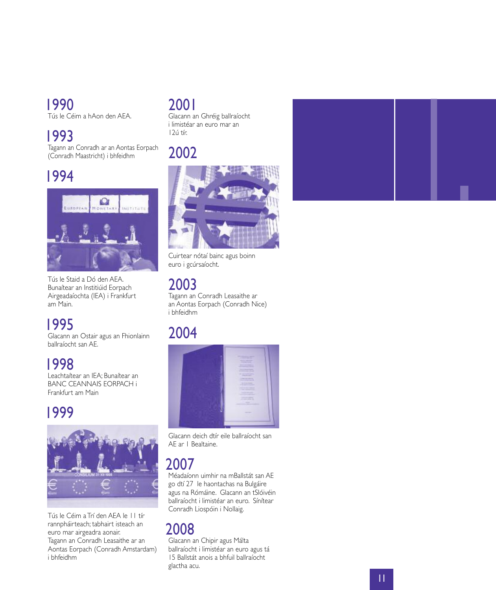## 1 9 9 0

Tús le Céim a hAon den AEA l i .

## 1 9 9 3

Tagann an Conradh ar an Aontas Eorpach (Conradh Maastricht) i bhfeidhm i i i

## 1 9 9 4



Tús le Staid a Dó den AEA l i . Bunaítear an Institiúid Eorpach i i i Airgeadaíochta (IEA) i Frankfurt i i a m M a n i .

## 1 9 9 5

Glacann an Ostair agus an Fhionlainn l i i l i ballraíocht san AE l l .

1 9 9 8 Leachtaítear an IEA; Bunaítear an ; BANC CEANNAIS EORPACH i Frankfurt am Main i

## 1 9 9 9



Tús le Céim a Trí den AEA le ۱۱ tír l i í l rannpháirteach; tabhairt isteach an i ; i i euro mar airgeadra aonair. i i Tagann an Conradh Leasaithe ar an i Aontas Eorpach (Conradh Amstardam) i b h fe d h m i

## 2 0 0 1

Glacann an Ghréig ballraíocht l i l l i l i mistéar an euro mar an i 1 2 ú t ír.

## <u>2002</u>



Cuirtear nótaí bainc agus boinn i í i i euro i gcúrsaíocht i .

### 2 0 0 3

Tagann an Conradh Leasaithe ar i an Aontas Eorpach (Conradh Nice) i i b h fe d h m i

## 2004



Glacann deich dtír eile ballraíocht san l i i l l l AE ar I Bealtaine l i .

## 2 0 0 7

Méadaíonn uimhir na mBallstát san AE i i l l go dtí 27 le haontachas na Bulgáire í l l i agus na Rómáine. Glacann an tSlóivéin i . l l i i ballraíocht i limistéar an euro. Sínítear l l i l i i . Conradh Liospóin i Nollaig i i i l l i .

## 2 0 0 8

Glacann an Chipir agus Málta l i i l ballraíocht i limistéar an euro agus tá l l i l i i 15 Ballstát anois a bhfuil ballraíocht l l i i l l l glactha acu l .

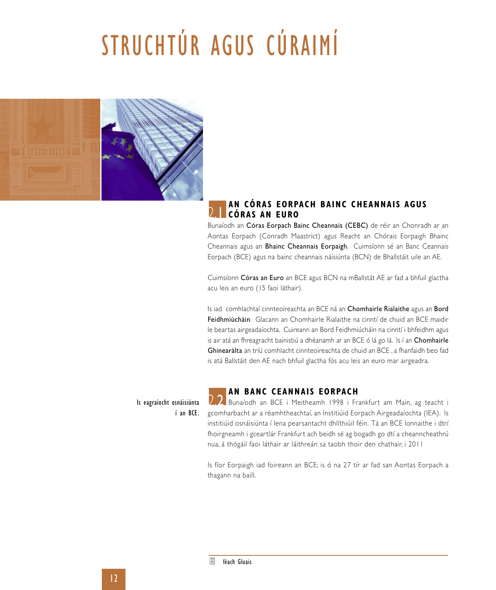# STRUCHTÚR AGUS CÚRAIMÍ



#### **AN CÓRAS EORPACH BAINC CHEANNAI S AGUS CÓRAS AN EURO** 2.1

Bunaíodh an Córas Eorpach Bainc Cheannais (CEBC) de réir an Chonradh ar an Aontas Eorpach (Conradh Maastrict) agus Reacht an Chórais Eorpaigh Bhainc Cheannais agus an Bhainc Cheannais Eorpaigh. Cuimsíonn sé an Banc Ceannais Eorpach (BCE) agus na bainc cheannais náisiúnta (BCN) de Bhallstáit uile an AE.

Cuimsíonn Córas an Euro an BCE agus BCN na mBallstát AE ar fad a bhfuil glactha acu leis an euro (15 faoi láthair).

Is iad comhlachtaí cinnteoireachta an BCE ná an Chomhairle Rialaithe agus an Bord Feidhmiúcháin. Glacann an Chomhairle Rialaithe na cinntí de chuid an BCE maidir le beartas airgeadaíochta. Cuireann an Bord Feidhmiúcháin na cinntí i bhfeidhm agus is air atá an fhreagracht bainistiú a dhéanamh ar an BCE ó lá go lá. Is í an Chomhairle Ghinearálta an tríú comhlacht cinnteoireachta de chuid an BCE , a fhanfaidh beo fad is atá Ballstáit den AE nach bhfuil glactha fós acu leis an euro mar airgeadra.

Is eagraíocht osnáisiúnta í an BCE.

#### **AN BANC CEANNAI S EORPACH**

**2.2** Bunaíodh an BCE i Meitheamh 1998 i Frankfurt am Main, ag teacht i gcomharbacht ar a réamhtheachtaí, an Institiúid Eorpach Airgeadaíochta (IEA). Is institiúid osnáisiúnta í lena pearsantacht dhlíthiúil féin. Tá an BCE lonnaithe i dtrí fhoirgneamh i gceartlár Frankfurt ach beidh sé ag bogadh go dtí a cheanncheathrú nua, á thógáil faoi láthair ar láithreán sa taobh thoir den chathair, i 2011

Is fíor Eorpaigh iad foireann an BCE; is ó na 27 tír ar fad san Aontas Eorpach a thagann na baill.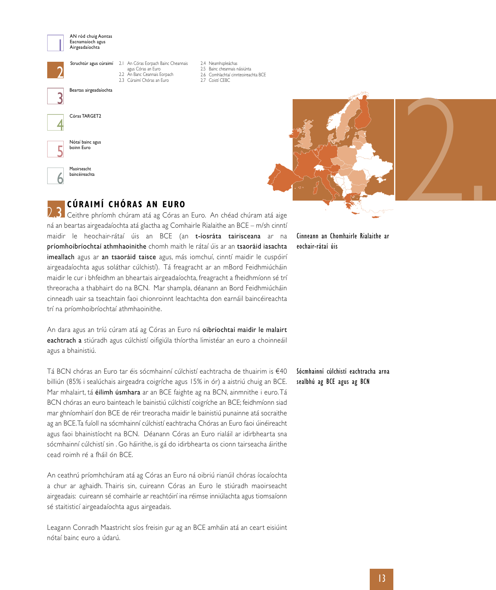

AN ród chuig Aontas Eacnamaíoch agus Airgeadaíochta

Beartas airgeadaíochta

Struchtúr agus cúraimí 2.1 An Córas Eorpach Bainc Cheannais 2

agus Córas an Euro 2.2 An Banc Ceannais Eorpach

- 2.3 Cúraimí Chóras an Euro
- 2.4 Neamhspleáchas 2.5 Bainc cheannais náisiúnta 2.6 Comhlachtaí cinnteoireachta BCE
- 2.7 Coistí CEBC



3



Maoirseacht baincéireachta 6



### **CÚRAIMÍ CHÓRAS AN EURO**

2.3 Ceithre phríomh chúram atá ag Córas an Euro. An chéad chúram atá aige ná an beartas airgeadaíochta atá glactha ag Comhairle Rialaithe an BCE – m/sh cinntí maidir le heochair-rátaí úis an BCE (an t-íosráta tairisceana ar na príomhoibríochtaí athmhaoinithe chomh maith le rátaí úis ar an tsaoráid iasachta imeallach agus ar an tsaoráid taisce agus, más iomchuí, cinntí maidir le cuspóirí airgeadaíochta agus soláthar cúlchistí). Tá freagracht ar an mBord Feidhmiúcháin maidir le cur i bhfeidhm an bheartais airgeadaíochta, freagracht a fheidhmíonn sé trí threoracha a thabhairt do na BCN. Mar shampla, déanann an Bord Feidhmiúcháin cinneadh uair sa tseachtain faoi chionroinnt leachtachta don earnáil baincéireachta trí na príomhoibríochtaí athmhaoinithe.

An dara agus an tríú cúram atá ag Córas an Euro ná oibríochtaí maidir le malairt eachtrach a stiúradh agus cúlchistí oifigiúla thíortha limistéar an euro a choinneáil agus a bhainistiú.

Tá BCN chóras an Euro tar éis sócmhainní cúlchistí eachtracha de thuairim is €40 billiún (85% i sealúchais airgeadra coigríche agus 15% in ór) a aistriú chuig an BCE. Mar mhalairt, tá éilimh úsmhara ar an BCE faighte ag na BCN, ainmnithe i euro. Tá BCN chóras an euro bainteach le bainistiú cúlchistí coigríche an BCE; feidhmíonn siad mar ghníomhairí don BCE de réir treoracha maidir le bainistiú punainne atá socraithe ag an BCE.Ta fuíoll na sócmhainní cúlchistí eachtracha Chóras an Euro faoi úinéireacht agus faoi bhainistíocht na BCN. Déanann Córas an Euro rialáil ar idirbhearta sna sócmhainní cúlchistí sin . Go háirithe, is gá do idirbhearta os cionn tairseacha áirithe cead roimh ré a fháil ón BCE.

An ceathrú príomhchúram atá ag Córas an Euro ná oibriú rianúil chóras íocaíochta a chur ar aghaidh. Thairis sin, cuireann Córas an Euro le stiúradh maoirseacht airgeadais: cuireann sé comhairle ar reachtóirí ina réimse inniúlachta agus tiomsaíonn sé staitisticí airgeadaíochta agus airgeadais.

Leagann Conradh Maastricht síos freisin gur ag an BCE amháin atá an ceart eisiúint nótaí bainc euro a údarú.

Cinneann an Chomhairle Rialaithe ar eochair-rátaí úis

#### Sócmhainní cúlchistí eachtracha arna sealbhú ag BCE agus ag BCN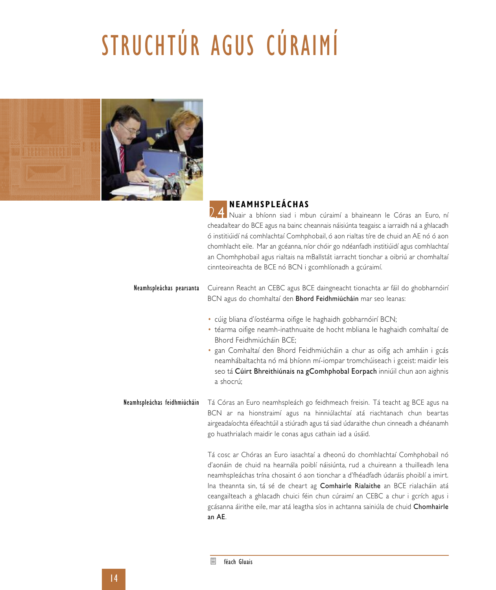# STRUCHTÚR AGUS CÚRAIMÍ



### **NEAMHSPLEÁCHAS**

2.4 Nuair a bhíonn siad i mbun cúraimí a bhaineann le Córas an Euro, ní cheadaítear do BCE agus na bainc cheannais náisiúnta teagaisc a iarraidh ná a ghlacadh ó institiúidí ná comhlachtaí Comhphobail, ó aon rialtas tíre de chuid an AE nó ó aon chomhlacht eile. Mar an gcéanna, níor chóir go ndéanfadh institiúidí agus comhlachtaí an Chomhphobail agus rialtais na mBallstát iarracht tionchar a oibriú ar chomhaltaí cinnteoireachta de BCE nó BCN i gcomhlíonadh a gcúraimí.

#### Neamhspleáchas pearsanta Cuireann Reacht an CEBC agus BCE daingneacht tionachta ar fáil do ghobharnóirí BCN agus do chomhaltaí den Bhord Feidhmiúcháin mar seo leanas:

- cúig bliana d'íostéarma oifige le haghaidh gobharnóirí BCN;
- téarma oifige neamh-inathnuaite de hocht mbliana le haghaidh comhaltaí de Bhord Feidhmiúcháin BCE;
- gan Comhaltaí den Bhord Feidhmiúcháin a chur as oifig ach amháin i gcás neamhábaltachta nó má bhíonn mí-iompar tromchúiseach i gceist: maidir leis seo tá Cúirt Bhreithiúnais na gComhphobal Eorpach inniúil chun aon aighnis a shocrú;

#### Neamhspleáchas feidhmiúcháin Tá Córas an Euro neamhspleách go feidhmeach freisin. Tá teacht ag BCE agus na BCN ar na hionstraimí agus na hinniúlachtaí atá riachtanach chun beartas airgeadaíochta éifeachtúil a stiúradh agus tá siad údaraithe chun cinneadh a dhéanamh go huathrialach maidir le conas agus cathain iad a úsáid.

Tá cosc ar Chóras an Euro iasachtaí a dheonú do chomhlachtaí Comhphobail nó d'aonáin de chuid na hearnála poiblí náisiúnta, rud a chuireann a thuilleadh lena neamhspleáchas trína chosaint ó aon tionchar a d'fhéadfadh údaráis phoiblí a imirt. Ina theannta sin, tá sé de cheart ag Comhairle Rialaithe an BCE rialacháin atá ceangailteach a ghlacadh chuici féin chun cúraimí an CEBC a chur i gcrích agus i gcásanna áirithe eile, mar atá leagtha síos in achtanna sainiúla de chuid Chomhairle an AE.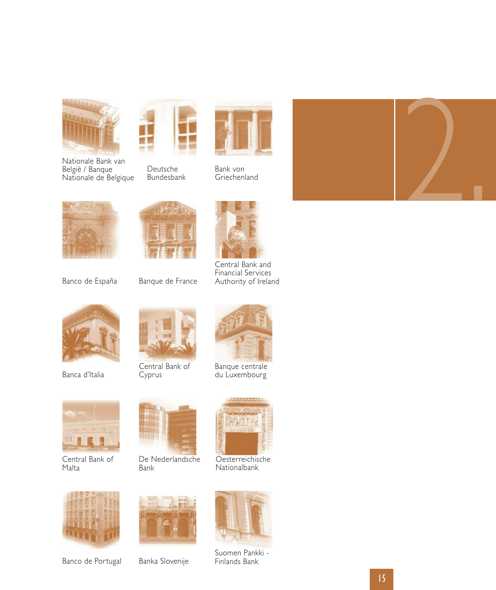





Deutsche Bundesbank



Bank von Griechenland



Banco de España





Central Bank and Financial Services Authority of Ireland



Banca d'Italia



Central Bank of Cyprus



Banque centrale du Luxembourg



Central Bank of Malta



De Nederlandsche Bank



Oesterreichische Nationalbank



Banco de Portugal



Banka Slovenije



Suomen Pankki -<br>Finlands Bank



15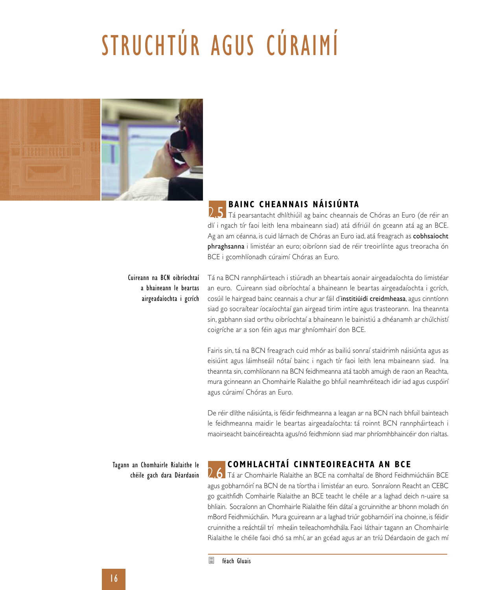# STRUCHTÚR AGUS CÚRAIMÍ



### **BAINC CHEANNAI S NÁI S IÚNTA**

**2.5** Tá pearsantacht dhlíthiúil ag bainc cheannais de Chóras an Euro (de réir an dlí i ngach tír faoi leith lena mbaineann siad) atá difriúil ón gceann atá ag an BCE. Ag an am céanna, is cuid lárnach de Chóras an Euro iad, atá freagrach as cobhsaíocht phraghsanna i limistéar an euro; oibríonn siad de réir treoirlínte agus treoracha ón BCE i gcomhlíonadh cúraimí Chóras an Euro.

#### Cuireann na BCN oibríochtaí a bhaineann le beartas airgeadaíochta i gcrích

Tá na BCN rannpháirteach i stiúradh an bheartais aonair airgeadaíochta do limistéar an euro. Cuireann siad oibríochtaí a bhaineann le beartas airgeadaíochta i gcrích, cosúil le hairgead bainc ceannais a chur ar fáil d'institiúidí creidmheasa, agus cinntíonn siad go socraítear íocaíochtaí gan airgead tirim intíre agus trasteorann. Ina theannta sin, gabhann siad orthu oibríochtaí a bhaineann le bainistiú a dhéanamh ar chúlchistí coigríche ar a son féin agus mar ghníomhairí don BCE.

Fairis sin, tá na BCN freagrach cuid mhór as bailiú sonraí staidrimh náisiúnta agus as eisiúint agus láimhseáil nótaí bainc i ngach tír faoi leith lena mbaineann siad. Ina theannta sin, comhlíonann na BCN feidhmeanna atá taobh amuigh de raon an Reachta, mura gcinneann an Chomhairle Rialaithe go bhfuil neamhréiteach idir iad agus cuspóirí agus cúraimí Chóras an Euro.

De réir dlíthe náisiúnta, is féidir feidhmeanna a leagan ar na BCN nach bhfuil bainteach le feidhmeanna maidir le beartas airgeadaíochta: tá roinnt BCN rannpháirteach i maoirseacht baincéireachta agus/nó feidhmíonn siad mar phríomhbhaincéir don rialtas.

Tagann an Chomhairle Rialaithe le chéile gach dara Déardaoin

#### **COMHLACHTAÍ CINNTEOIREACHTA AN BCE**

**D.6** Tá ar Chomhairle Rialaithe an BCE na comhaltaí de Bhord Feidhmiúcháin BCE agus gobharnóirí na BCN de na tíortha i limistéar an euro. Sonraíonn Reacht an CEBC go gcaithfidh Comhairle Rialaithe an BCE teacht le chéile ar a laghad deich n-uaire sa bhliain. Socraíonn an Chomhairle Rialaithe féin dátaí a gcruinnithe ar bhonn moladh ón mBord Feidhmiúcháin. Mura gcuireann ar a laghad triúr gobharnóirí ina choinne, is féidir cruinnithe a reáchtáil trí mheáin teileachomhdhála. Faoi láthair tagann an Chomhairle Rialaithe le chéile faoi dhó sa mhí, ar an gcéad agus ar an tríú Déardaoin de gach mí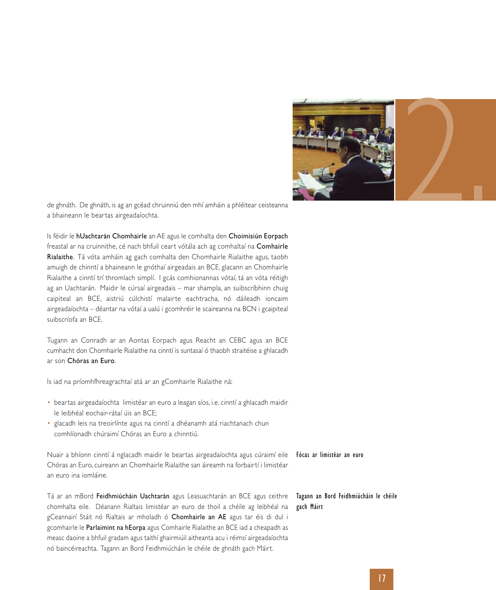

de ghnáth. De ghnáth, is ag an gcéad chruinniú den mhí amháin a phléitear ceisteanna a bhaineann le beartas airgeadaíochta.

Is féidir le hUachtarán Chomhairle an AE agus le comhalta den Choimisiún Eorpach freastal ar na cruinnithe, cé nach bhfuil ceart vótála ach ag comhaltaí na Comhairle Rialaithe. Tá vóta amháin ag gach comhalta den Chomhairle Rialaithe agus, taobh amuigh de chinntí a bhaineann le gnóthaí airgeadais an BCE, glacann an Chomhairle Rialaithe a cinntí trí thromlach simplí. I gcás comhionannas vótaí, tá an vóta réitigh ag an Uachtarán. Maidir le cúrsaí airgeadais – mar shampla, an suibscríbhinn chuig caipiteal an BCE, aistriú cúlchistí malairte eachtracha, nó dáileadh ioncaim airgeadaíochta – déantar na vótaí a ualú i gcomhréir le scaireanna na BCN i gcaipiteal suibscríofa an BCE.

Tugann an Conradh ar an Aontas Eorpach agus Reacht an CEBC agus an BCE cumhacht don Chomhairle Rialaithe na cinntí is suntasaí ó thaobh straitéise a ghlacadh ar son Chóras an Euro.

Is iad na príomhfhreagrachtaí atá ar an gComhairle Rialaithe ná:

- beartas airgeadaíochta limistéar an euro a leagan síos, i.e. cinntí a ghlacadh maidir le leibhéal eochair-rátaí úis an BCE;
- glacadh leis na treoirlínte agus na cinntí a dhéanamh atá riachtanach chun comhlíonadh chúraimí Chóras an Euro a chinntiú.

Nuair a bhíonn cinntí á nglacadh maidir le beartas airgeadaíochta agus cúraimí eile **Fócas ar limistéar an euro** Chóras an Euro, cuireann an Chomhairle Rialaithe san áireamh na forbairtí i limistéar an euro ina iomláine.

Tá ar an mBord Feidhmiúcháin Uachtarán agus Leasuachtarán an BCE agus ceithre chomhalta eile. Déanann Rialtais limistéar an euro de thoil a chéile ag leibhéal na gCeannairí Stáit nó Rialtais ar mholadh ó Chomhairle an AE agus tar éis di dul i gcomhairle le Parlaimint na hEorpa agus Comhairle Rialaithe an BCE iad a cheapadh as measc daoine a bhfuil gradam agus taithí ghairmiúil aitheanta acu i réimsí airgeadaíochta nó baincéireachta. Tagann an Bord Feidhmiúcháin le chéile de ghnáth gach Máirt.

#### Tagann an Bord Feidhmiúcháin le chéile gach Máirt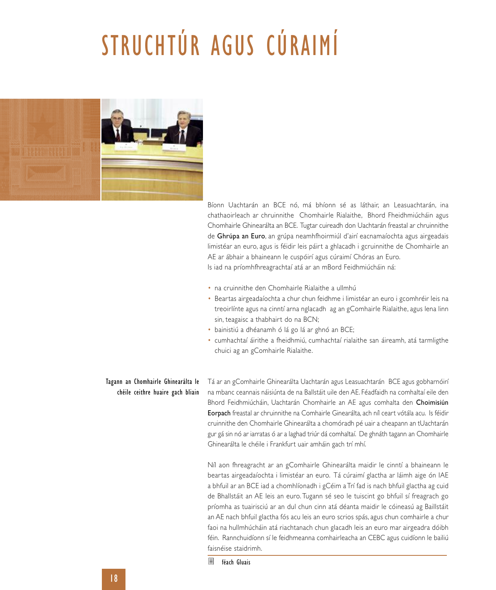# STRUCHTÚR AGUS CÚRAIMÍ



Bíonn Uachtarán an BCE nó, má bhíonn sé as láthair, an Leasuachtarán, ina chathaoirleach ar chruinnithe Chomhairle Rialaithe, Bhord Fheidhmiúcháin agus Chomhairle Ghinearálta an BCE. Tugtar cuireadh don Uachtarán freastal ar chruinnithe de Ghrúpa an Euro, an grúpa neamhfhoirmiúl d'airí eacnamaíochta agus airgeadais limistéar an euro, agus is féidir leis páirt a ghlacadh i gcruinnithe de Chomhairle an AE ar ábhair a bhaineann le cuspóirí agus cúraimí Chóras an Euro. Is iad na príomhfhreagrachtaí atá ar an mBord Feidhmiúcháin ná:

- na cruinnithe den Chomhairle Rialaithe a ullmhú
- Beartas airgeadaíochta a chur chun feidhme i limistéar an euro i gcomhréir leis na treoirlínte agus na cinntí arna nglacadh ag an gComhairle Rialaithe, agus lena linn sin, teagaisc a thabhairt do na BCN;
- bainistiú a dhéanamh ó lá go lá ar ghnó an BCE;
- cumhachtaí áirithe a fheidhmiú, cumhachtaí rialaithe san áireamh, atá tarmligthe chuici ag an gComhairle Rialaithe.

#### Tagann an Chomhairle Ghinearálta le chéile ceithre huaire gach bliain

Tá ar an gComhairle Ghinearálta Uachtarán agus Leasuachtarán BCE agus gobharnóirí na mbanc ceannais náisiúnta de na Ballstáit uile den AE. Féadfaidh na comhaltaí eile den Bhord Feidhmiúcháin, Uachtarán Chomhairle an AE agus comhalta den Choimisiún Eorpach freastal ar chruinnithe na Comhairle Ginearálta, ach níl ceart vótála acu. Is féidir cruinnithe den Chomhairle Ghinearálta a chomóradh pé uair a cheapann an tUachtarán gur gá sin nó ar iarratas ó ar a laghad triúr dá comhaltaí. De ghnáth tagann an Chomhairle Ghinearálta le chéile i Frankfurt uair amháin gach trí mhí.

Níl aon fhreagracht ar an gComhairle Ghinearálta maidir le cinntí a bhaineann le beartas airgeadaíochta i limistéar an euro. Tá cúraimí glactha ar láimh aige ón IAE a bhfuil ar an BCE iad a chomhlíonadh i gCéim a Trí fad is nach bhfuil glactha ag cuid de Bhallstáit an AE leis an euro. Tugann sé seo le tuiscint go bhfuil sí freagrach go príomha as tuairisciú ar an dul chun cinn atá déanta maidir le cóineasú ag Baillstáit an AE nach bhfuil glactha fós acu leis an euro scrios spás, agus chun comhairle a chur faoi na hullmhúcháin atá riachtanach chun glacadh leis an euro mar airgeadra dóibh féin. Rannchuidíonn sí le feidhmeanna comhairleacha an CEBC agus cuidíonn le bailiú faisnéise staidrimh.

féach Gluais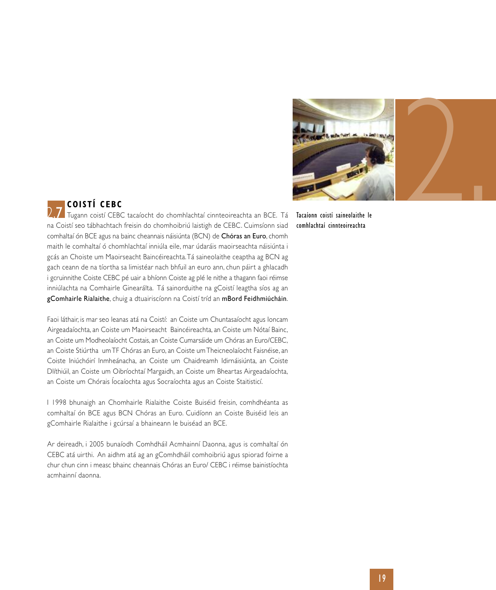

comhlachtaí cinnteoireachta

### **COI STÍ CEBC**

2.7 Tugann coistí CEBC tacaíocht do chomhlachtaí cinnteoireachta an BCE. Tá Tacaíonn coistí saineolaithe le na Coistí seo tábhachtach freisin do chomhoibriú laistigh de CEBC. Cuimsíonn siad comhaltaí ón BCE agus na bainc cheannais náisiúnta (BCN) de Chóras an Euro, chomh maith le comhaltaí ó chomhlachtaí inniúla eile, mar údaráis maoirseachta náisiúnta i gcás an Choiste um Maoirseacht Baincéireachta.Tá saineolaithe ceaptha ag BCN ag gach ceann de na tíortha sa limistéar nach bhfuil an euro ann, chun páirt a ghlacadh i gcruinnithe Coiste CEBC pé uair a bhíonn Coiste ag plé le nithe a thagann faoi réimse inniúlachta na Comhairle Ginearálta. Tá sainorduithe na gCoistí leagtha síos ag an gComhairle Rialaithe, chuig a dtuairiscíonn na Coistí tríd an mBord Feidhmiúcháin.

Faoi láthair, is mar seo leanas atá na Coistí: an Coiste um Chuntasaíocht agus Ioncam Airgeadaíochta, an Coiste um Maoirseacht Baincéireachta, an Coiste um Nótaí Bainc, an Coiste um Modheolaíocht Costais, an Coiste Cumarsáide um Chóras an Euro/CEBC, an Coiste Stiúrtha umTF Chóras an Euro, an Coiste umTheicneolaíocht Faisnéise, an Coiste Iniúchóirí Inmheánacha, an Coiste um Chaidreamh Idirnáisiúnta, an Coiste Dlíthiúil, an Coiste um Oibríochtaí Margaidh, an Coiste um Bheartas Airgeadaíochta, an Coiste um Chórais Íocaíochta agus Socraíochta agus an Coiste Staitisticí.

I 1998 bhunaigh an Chomhairle Rialaithe Coiste Buiséid freisin, comhdhéanta as comhaltaí ón BCE agus BCN Chóras an Euro. Cuidíonn an Coiste Buiséid leis an gComhairle Rialaithe i gcúrsaí a bhaineann le buiséad an BCE.

Ar deireadh, i 2005 bunaíodh Comhdháil Acmhainní Daonna, agus is comhaltaí ón CEBC atá uirthi. An aidhm atá ag an gComhdháil comhoibriú agus spiorad foirne a chur chun cinn i measc bhainc cheannais Chóras an Euro/ CEBC i réimse bainistíochta acmhainní daonna.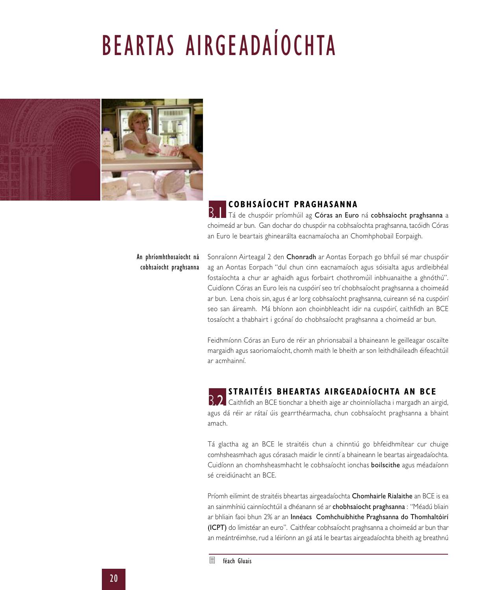# BEARTAS AIRGEADAÍOCHTA



### **COBHSAÍOCHT PRAGHASANNA**

B. Tá de chuspóir príomhúil ag Córas an Euro ná cobhsaíocht praghsanna a choimeád ar bun. Gan dochar do chuspóir na cobhsaíochta praghsanna, tacóidh Córas an Euro le beartais ghinearálta eacnamaíocha an Chomhphobail Eorpaigh.

#### An phríomhthosaíocht ná cobhsaíocht praghsanna

Sonraíonn Airteagal 2 den Chonradh ar Aontas Eorpach go bhfuil sé mar chuspóir ag an Aontas Eorpach "dul chun cinn eacnamaíoch agus sóisialta agus ardleibhéal fostaíochta a chur ar aghaidh agus forbairt chothromúil inbhuanaithe a ghnóthú". Cuidíonn Córas an Euro leis na cuspóirí seo trí chobhsaíocht praghsanna a choimeád ar bun. Lena chois sin, agus é ar lorg cobhsaíocht praghsanna, cuireann sé na cuspóirí seo san áireamh. Má bhíonn aon choinbhleacht idir na cuspóirí, caithfidh an BCE tosaíocht a thabhairt i gcónaí do chobhsaíocht praghsanna a choimeád ar bun.

Feidhmíonn Córas an Euro de réir an phrionsabail a bhaineann le geilleagar oscailte margaidh agus saoriomaíocht, chomh maith le bheith ar son leithdháileadh éifeachtúil ar acmhainní.

### **STRAITÉI S BHEARTAS AIRGEADAÍOCHTA AN BCE**

**B.2** Caithfidh an BCE tionchar a bheith aige ar choinníollacha i margadh an airgid, agus dá réir ar rátaí úis gearrthéarmacha, chun cobhsaíocht praghsanna a bhaint amach.

Tá glactha ag an BCE le straitéis chun a chinntiú go bhfeidhmítear cur chuige comhsheasmhach agus córasach maidir le cinntí a bhaineann le beartas airgeadaíochta. Cuidíonn an chomhsheasmhacht le cobhsaíocht ionchas boilscithe agus méadaíonn sé creidiúnacht an BCE.

Príomh eilimint de straitéis bheartas airgeadaíochta Chomhairle Rialaithe an BCE is ea an sainmhíniú cainníochtúil a dhéanann sé ar chobhsaíocht praghsanna : "Méadú bliain ar bhliain faoi bhun 2% ar an Innéacs Comhchuibhithe Praghsanna do Thomhaltóirí (ICPT) do limistéar an euro". Caithfear cobhsaíocht praghsanna a choimeád ar bun thar an meántréimhse, rud a léiríonn an gá atá le beartas airgeadaíochta bheith ag breathnú

鳫 féach Gluais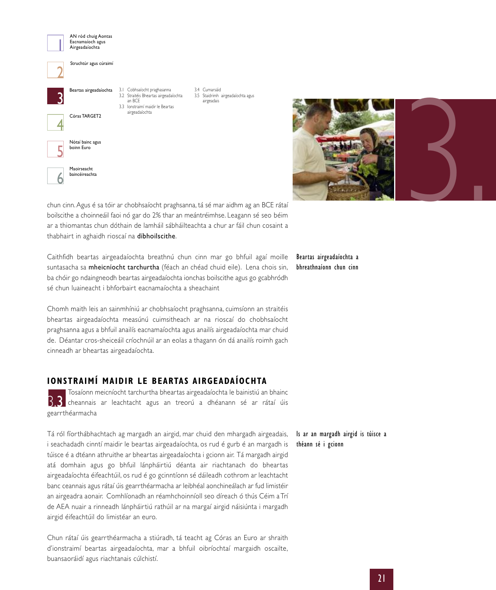



chun cinn.Agus é sa tóir ar chobhsaíocht praghsanna, tá sé mar aidhm ag an BCE rátaí boilscithe a choinneáil faoi nó gar do 2% thar an meántréimhse. Leagann sé seo béim ar a thiomantas chun dóthain de lamháil sábháilteachta a chur ar fáil chun cosaint a thabhairt in aghaidh rioscaí na díbhoilscithe.

Caithfidh beartas airgeadaíochta breathnú chun cinn mar go bhfuil agaí moille suntasacha sa mheicníocht tarchurtha (féach an chéad chuid eile). Lena chois sin, ba chóir go ndaingneodh beartas airgeadaíochta ionchas boilscithe agus go gcabhródh sé chun luaineacht i bhforbairt eacnamaíochta a sheachaint

Chomh maith leis an sainmhíniú ar chobhsaíocht praghsanna, cuimsíonn an straitéis bheartas airgeadaíochta measúnú cuimsitheach ar na rioscaí do chobhsaíocht praghsanna agus a bhfuil anailís eacnamaíochta agus anailís airgeadaíochta mar chuid de. Déantar cros-sheiceáil críochnúil ar an eolas a thagann ón dá anailís roimh gach cinneadh ar bheartas airgeadaíochta.

#### **IONSTRAIMÍ MAIDIR LE BEARTAS AIRGEADAÍOCHTA**

Tosaíonn meicníocht tarchurtha bheartas airgeadaíochta le bainistiú an bhainc **3.3** cheannais ar leachtacht agus an treorú a dhéanann sé ar rátaí úis gearrthéarmacha

Tá ról fíorthábhachtach ag margadh an airgid, mar chuid den mhargadh airgeadais, i seachadadh cinntí maidir le beartas airgeadaíochta, os rud é gurb é an margadh is túisce é a dtéann athruithe ar bheartas airgeadaíochta i gcionn air. Tá margadh airgid atá domhain agus go bhfuil lánpháirtiú déanta air riachtanach do bheartas airgeadaíochta éifeachtúil, os rud é go gcinntíonn sé dáileadh cothrom ar leachtacht banc ceannais agus rátaí úis gearrthéarmacha ar leibhéal aonchineálach ar fud limistéir an airgeadra aonair. Comhlíonadh an réamhchoinníoll seo díreach ó thús Céim a Trí de AEA nuair a rinneadh lánpháirtiú rathúil ar na margaí airgid náisiúnta i margadh airgid éifeachtúil do limistéar an euro.

Chun rátaí úis gearrthéarmacha a stiúradh, tá teacht ag Córas an Euro ar shraith d'ionstraimí beartas airgeadaíochta, mar a bhfuil oibríochtaí margaidh oscailte, buansaoráidí agus riachtanais cúlchistí.

Beartas airgeadaíochta a bhreathnaíonn chun cinn

Is ar an margadh airgid is túisce a théann sé i gcionn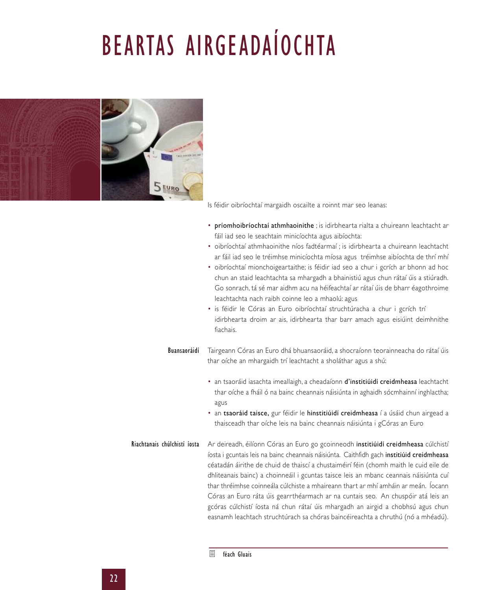# BEARTAS AIRGEADAÍOCHTA



Is féidir oibríochtaí margaidh oscailte a roinnt mar seo leanas:

- príomhoibríochtaí athmhaoinithe ; is idirbhearta rialta a chuireann leachtacht ar fáil iad seo le seachtain minicíochta agus aibíochta:
- oibríochtaí athmhaoinithe níos fadtéarmaí ; is idirbhearta a chuireann leachtacht ar fáil iad seo le tréimhse minicíochta míosa agus tréimhse aibíochta de thrí mhí
- oibríochtaí mionchoigeartaithe; is féidir iad seo a chur i gcrích ar bhonn ad hoc chun an staid leachtachta sa mhargadh a bhainistiú agus chun rátaí úis a stiúradh. Go sonrach, tá sé mar aidhm acu na héifeachtaí ar rátaí úis de bharr éagothroime leachtachta nach raibh coinne leo a mhaolú: agus
- is féidir le Córas an Euro oibríochtaí struchtúracha a chur i gcrích trí idirbhearta droim ar ais, idirbhearta thar barr amach agus eisiúint deimhnithe fiachais.
- Tairgeann Córas an Euro dhá bhuansaoráid, a shocraíonn teorainneacha do rátaí úis thar oíche an mhargaidh trí leachtacht a sholáthar agus a shú: Buansaoráidí
	- an tsaoráid iasachta imeallaigh, a cheadaíonn d'institiúidí creidmheasa leachtacht thar oíche a fháil ó na bainc cheannais náisiúnta in aghaidh sócmhainní inghlactha; agus
	- an tsaoráid taisce, gur féidir le hinstitiúidí creidmheasa í a úsáid chun airgead a thaisceadh thar oíche leis na bainc cheannais náisiúnta i gCóras an Euro
- Ar deireadh, éilíonn Córas an Euro go gcoinneodh institiúidí creidmheasa cúlchistí íosta i gcuntais leis na bainc cheannais náisiúnta. Caithfidh gach institiúid creidmheasa céatadán áirithe de chuid de thaiscí a chustaiméirí féin (chomh maith le cuid eile de dhliteanais bainc) a choinneáil i gcuntas taisce leis an mbanc ceannais náisiúnta cuí thar thréimhse coinneála cúlchiste a mhaireann thart ar mhí amháin ar meán. Íocann Córas an Euro ráta úis gearrthéarmach ar na cuntais seo. An chuspóir atá leis an gcóras cúlchistí íosta ná chun rátaí úis mhargadh an airgid a chobhsú agus chun easnamh leachtach struchtúrach sa chóras baincéireachta a chruthú (nó a mhéadú). Riachtanais chúlchistí íosta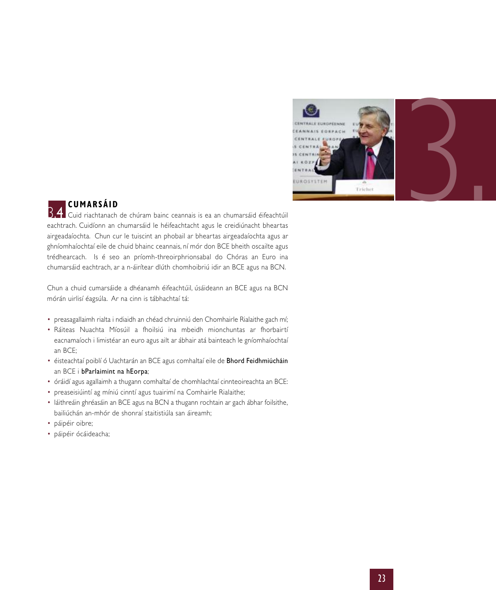

### **CUMARSÁID**

Cuid riachtanach de chúram bainc ceannais is ea an chumarsáid éifeachtúil 3.4 eachtrach. Cuidíonn an chumarsáid le héifeachtacht agus le creidiúnacht bheartas airgeadaíochta. Chun cur le tuiscint an phobail ar bheartas airgeadaíochta agus ar ghníomhaíochtaí eile de chuid bhainc ceannais, ní mór don BCE bheith oscailte agus trédhearcach. Is é seo an príomh-threoirphrionsabal do Chóras an Euro ina chumarsáid eachtrach, ar a n-áirítear dlúth chomhoibriú idir an BCE agus na BCN.

Chun a chuid cumarsáide a dhéanamh éifeachtúil, úsáideann an BCE agus na BCN mórán uirlisí éagsúla. Ar na cinn is tábhachtaí tá:

- preasagallaimh rialta i ndiaidh an chéad chruinniú den Chomhairle Rialaithe gach mí;
- Ráiteas Nuachta Míosúil a fhoilsiú ina mbeidh mionchuntas ar fhorbairtí eacnamaíoch i limistéar an euro agus ailt ar ábhair atá bainteach le gníomhaíochtaí an BCE;
- éisteachtaí poiblí ó Uachtarán an BCE agus comhaltaí eile de Bhord Feidhmiúcháin an BCE i bParlaimint na hEorpa;
- óráidí agus agallaimh a thugann comhaltaí de chomhlachtaí cinnteoireachta an BCE:
- preaseisiúintí ag míniú cinntí agus tuairimí na Comhairle Rialaithe;
- láithreáin ghréasáin an BCE agus na BCN a thugann rochtain ar gach ábhar foilsithe, bailiúchán an-mhór de shonraí staitistiúla san áireamh;
- páipéir oibre;
- páipéir ócáideacha;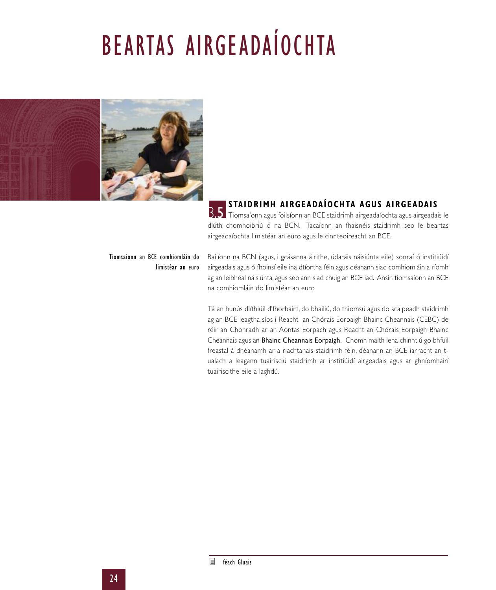# BEARTAS AIRGEADAÍOCHTA



### **STAIDRIMH AIRGEADAÍOCHTA AGUS AIRGEADAI S**

B.5 Tiomsaíonn agus foilsíonn an BCE staidrimh airgeadaíochta agus airgeadais le dlúth chomhoibriú ó na BCN. Tacaíonn an fhaisnéis staidrimh seo le beartas airgeadaíochta limistéar an euro agus le cinnteoireacht an BCE.

#### Tiomsaíonn an BCE comhiomláin do limistéar an euro

Bailíonn na BCN (agus, i gcásanna áirithe, údaráis náisiúnta eile) sonraí ó institiúidí airgeadais agus ó fhoinsí eile ina dtíortha féin agus déanann siad comhiomláin a ríomh ag an leibhéal náisiúnta, agus seolann siad chuig an BCE iad. Ansin tiomsaíonn an BCE na comhiomláin do limistéar an euro

Tá an bunús dlíthiúil d'fhorbairt, do bhailiú, do thiomsú agus do scaipeadh staidrimh ag an BCE leagtha síos i Reacht an Chórais Eorpaigh Bhainc Cheannais (CEBC) de réir an Chonradh ar an Aontas Eorpach agus Reacht an Chórais Eorpaigh Bhainc Cheannais agus an Bhainc Cheannais Eorpaigh. Chomh maith lena chinntiú go bhfuil freastal á dhéanamh ar a riachtanais staidrimh féin, déanann an BCE iarracht an tualach a leagann tuairisciú staidrimh ar institiúidí airgeadais agus ar ghníomhairí tuairiscithe eile a laghdú.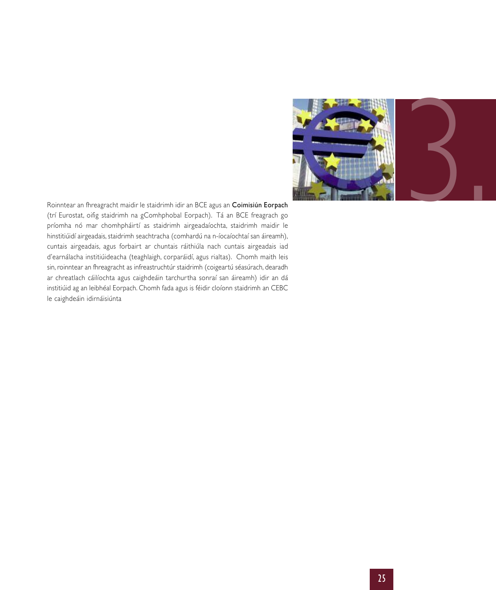

Roinntear an fhreagracht maidir le staidrimh idir an BCE agus an Coimisiún Eorpach (trí Eurostat, oifig staidrimh na gComhphobal Eorpach). Tá an BCE freagrach go príomha nó mar chomhpháirtí as staidrimh airgeadaíochta, staidrimh maidir le hinstitiúidí airgeadais, staidrimh seachtracha (comhardú na n-íocaíochtaí san áireamh), cuntais airgeadais, agus forbairt ar chuntais ráithiúla nach cuntais airgeadais iad d'earnálacha institiúideacha (teaghlaigh, corparáidí, agus rialtas). Chomh maith leis sin, roinntear an fhreagracht as infreastruchtúr staidrimh (coigeartú séasúrach, dearadh ar chreatlach cáilíochta agus caighdeáin tarchurtha sonraí san áireamh) idir an dá institiúid ag an leibhéal Eorpach. Chomh fada agus is féidir cloíonn staidrimh an CEBC le caighdeáin idirnáisiúnta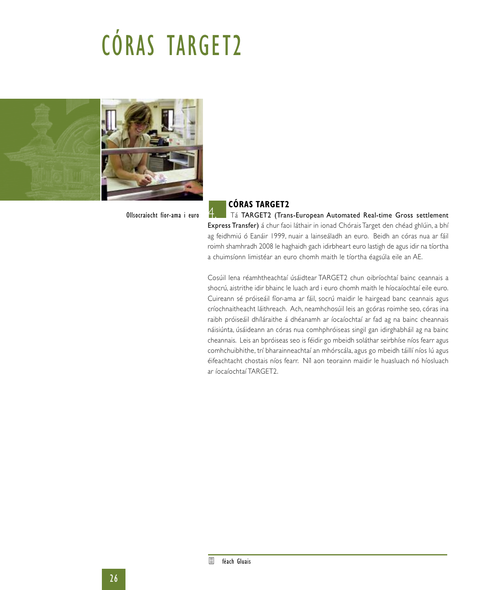# CÓRAS TARGET2



Ollsocraíocht fíor-ama i euro

#### **CÓRAS TARGET2**

Tá TARGET2 (Trans-European Automated Real-time Gross settlement Express Transfer) á chur faoi láthair in ionad Chórais Target den chéad ghlúin, a bhí ag feidhmiú ó Eanáir 1999, nuair a lainseáladh an euro. Beidh an córas nua ar fáil roimh shamhradh 2008 le haghaidh gach idirbheart euro lastigh de agus idir na tíortha a chuimsíonn limistéar an euro chomh maith le tíortha éagsúla eile an AE.

Cosúil lena réamhtheachtaí úsáidtear TARGET2 chun oibríochtaí bainc ceannais a shocrú, aistrithe idir bhainc le luach ard i euro chomh maith le híocaíochtaí eile euro. Cuireann sé próiseáil fíor-ama ar fáil, socrú maidir le hairgead banc ceannais agus críochnaitheacht láithreach. Ach, neamhchosúil leis an gcóras roimhe seo, córas ina raibh próiseáil dhíláraithe á dhéanamh ar íocaíochtaí ar fad ag na bainc cheannais náisiúnta, úsáideann an córas nua comhphróiseas singil gan idirghabháil ag na bainc cheannais. Leis an bpróiseas seo is féidir go mbeidh soláthar seirbhíse níos fearr agus comhchuibhithe, trí bharainneachtaí an mhórscála, agus go mbeidh táillí níos lú agus éifeachtacht chostais níos fearr. Níl aon teorainn maidir le huasluach nó híosluach ar íocaíochtaí TARGET2.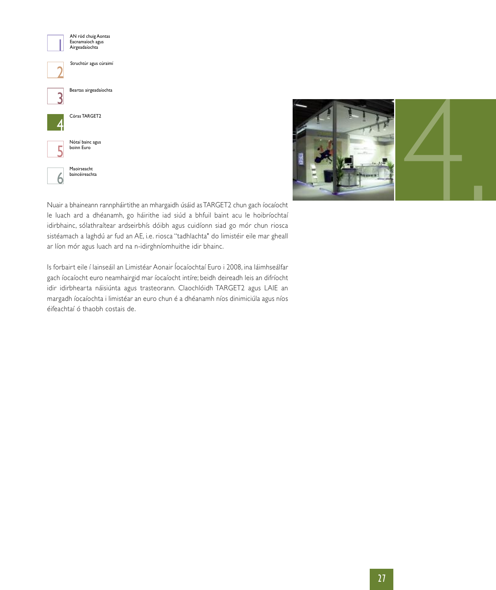



Nuair a bhaineann rannpháirtithe an mhargaidh úsáid asTARGET2 chun gach íocaíocht le luach ard a dhéanamh, go háirithe iad siúd a bhfuil baint acu le hoibríochtaí idirbhainc, sólathraítear ardseirbhís dóibh agus cuidíonn siad go mór chun riosca sistéamach a laghdú ar fud an AE, i.e. riosca "tadhlachta" do limistéir eile mar gheall ar líon mór agus luach ard na n-idirghníomhuithe idir bhainc.

Is forbairt eile í lainseáil an Limistéar Aonair Íocaíochtaí Euro i 2008, ina láimhseálfar gach íocaíocht euro neamhairgid mar íocaíocht intíre; beidh deireadh leis an difríocht idir idirbhearta náisiúnta agus trasteorann. Claochlóidh TARGET2 agus LAIE an margadh íocaíochta i limistéar an euro chun é a dhéanamh níos dinimiciúla agus níos éifeachtaí ó thaobh costais de.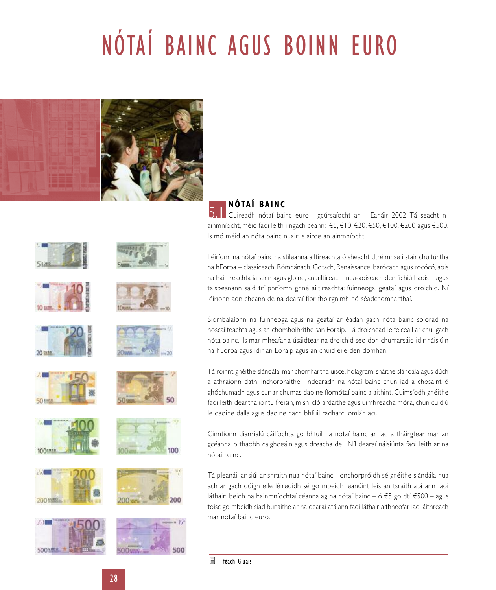# NÓTAÍ BAINC AGUS BOINN EURO





100

200

### **NÓTAÍ BAINC**

5. Cuireadh nótaí bainc euro i gcúrsaíocht ar 1 Eanáir 2002. Tá seacht nainmníocht, méid faoi leith i ngach ceann: €5, €10, €20, €50, €100, €200 agus €500. Is mó méid an nóta bainc nuair is airde an ainmníocht.

Léiríonn na nótaí bainc na stíleanna ailtireachta ó sheacht dtréimhse i stair chultúrtha na hEorpa – clasaiceach, Rómhánach, Gotach, Renaissance, barócach agus rocócó, aois na hailtireachta iarainn agus gloine, an ailtireacht nua-aoiseach den fichiú haois – agus taispeánann said trí phríomh ghné ailtireachta: fuinneoga, geataí agus droichid. Ní léiríonn aon cheann de na dearaí fíor fhoirgnimh nó séadchomharthaí.

Siombalaíonn na fuinneoga agus na geataí ar éadan gach nóta bainc spiorad na hoscailteachta agus an chomhoibrithe san Eoraip. Tá droichead le feiceáil ar chúl gach nóta bainc. Is mar mheafar a úsáidtear na droichid seo don chumarsáid idir náisiúin na hEorpa agus idir an Eoraip agus an chuid eile den domhan.

Tá roinnt gnéithe slándála, mar chomhartha uisce, holagram, snáithe slándála agus dúch a athraíonn dath, inchorpraithe i ndearadh na nótaí bainc chun iad a chosaint ó ghóchumadh agus cur ar chumas daoine fíornótaí bainc a aithint. Cuimsíodh gnéithe faoi leith deartha iontu freisin, m.sh. cló ardaithe agus uimhreacha móra, chun cuidiú le daoine dalla agus daoine nach bhfuil radharc iomlán acu.

Cinntíonn dianrialú cáilíochta go bhfuil na nótaí bainc ar fad a tháirgtear mar an gcéanna ó thaobh caighdeáin agus dreacha de. Níl dearaí náisiúnta faoi leith ar na nótaí bainc.

Tá pleanáil ar siúl ar shraith nua nótaí bainc. Ionchorpróidh sé gnéithe slándála nua ach ar gach dóigh eile léireoidh sé go mbeidh leanúint leis an tsraith atá ann faoi láthair: beidh na hainmníochtaí céanna ag na nótaí bainc – ó €5 go dtí €500 – agus toisc go mbeidh siad bunaithe ar na dearaí atá ann faoi láthair aithneofar iad láithreach mar nótaí bainc euro.

目 féach Gluais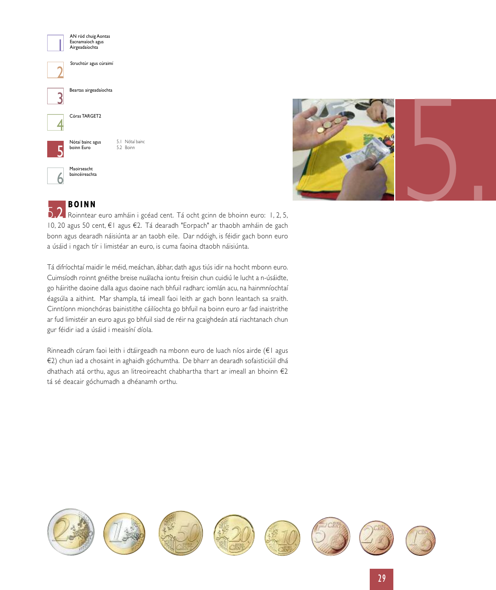



### **BOINN**

5.2 Roinntear euro amháin i gcéad cent. Tá ocht gcinn de bhoinn euro: 1, 2, 5, 10, 20 agus 50 cent, €1 agus €2. Tá dearadh "Eorpach" ar thaobh amháin de gach bonn agus dearadh náisiúnta ar an taobh eile. Dar ndóigh, is féidir gach bonn euro a úsáid i ngach tír i limistéar an euro, is cuma faoina dtaobh náisiúnta.

Tá difríochtaí maidir le méid, meáchan, ábhar, dath agus tiús idir na hocht mbonn euro. Cuimsíodh roinnt gnéithe breise nuálacha iontu freisin chun cuidiú le lucht a n-úsáidte, go háirithe daoine dalla agus daoine nach bhfuil radharc iomlán acu, na hainmníochtaí éagsúla a aithint. Mar shampla, tá imeall faoi leith ar gach bonn leantach sa sraith. Cinntíonn mionchóras bainistithe cáilíochta go bhfuil na boinn euro ar fad inaistrithe ar fud limistéir an euro agus go bhfuil siad de réir na gcaighdeán atá riachtanach chun gur féidir iad a úsáid i meaisíní díola.

Rinneadh cúram faoi leith i dtáirgeadh na mbonn euro de luach níos airde (€1 agus €2) chun iad a chosaint in aghaidh góchumtha. De bharr an dearadh sofaisticiúil dhá dhathach atá orthu, agus an litreoireacht chabhartha thart ar imeall an bhoinn €2 tá sé deacair góchumadh a dhéanamh orthu.

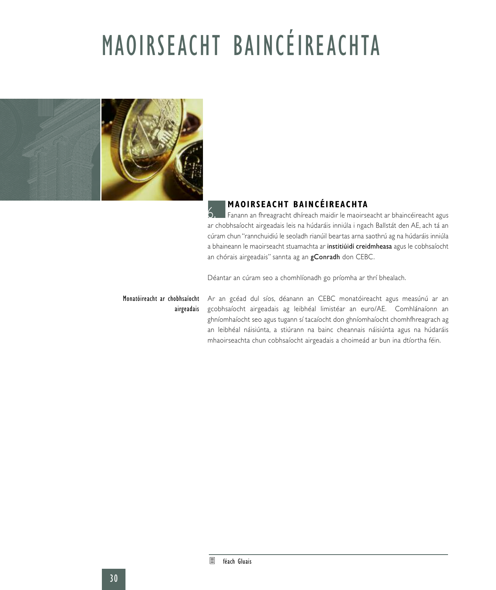# MAOIRSEACHT BAINCÉIREACHTA



### **MAOIRSEACHT BAINCÉIREACHTA**

Fanann an fhreagracht dhíreach maidir le maoirseacht ar bhaincéireacht agus ar chobhsaíocht airgeadais leis na húdaráis inniúla i ngach Ballstát den AE, ach tá an cúram chun "rannchuidiú le seoladh rianúil beartas arna saothrú ag na húdaráis inniúla a bhaineann le maoirseacht stuamachta ar institiúidí creidmheasa agus le cobhsaíocht an chórais airgeadais" sannta ag an gConradh don CEBC. 6.

Déantar an cúram seo a chomhlíonadh go príomha ar thrí bhealach.

## airgeadais

**Monatóireacht ar chobhsaíocht** Ar an gcéad dul síos, déanann an CEBC monatóireacht agus measúnú ar an gcobhsaíocht airgeadais ag leibhéal limistéar an euro/AE. Comhlánaíonn an ghníomhaíocht seo agus tugann sí tacaíocht don ghníomhaíocht chomhfhreagrach ag an leibhéal náisiúnta, a stiúrann na bainc cheannais náisiúnta agus na húdaráis mhaoirseachta chun cobhsaíocht airgeadais a choimeád ar bun ina dtíortha féin.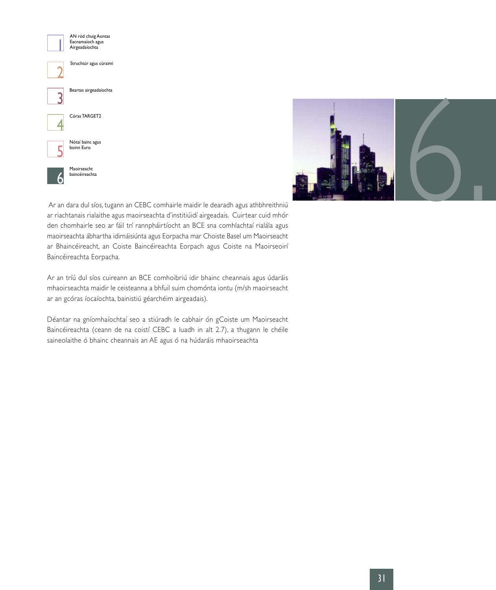



Ar an dara dul síos, tugann an CEBC comhairle maidir le dearadh agus athbhreithniú ar riachtanais rialaithe agus maoirseachta d'institiúidí airgeadais. Cuirtear cuid mhór den chomhairle seo ar fáil trí rannpháirtíocht an BCE sna comhlachtaí rialála agus maoirseachta ábhartha idirnáisiúnta agus Eorpacha mar Choiste Basel um Maoirseacht ar Bhaincéireacht, an Coiste Baincéireachta Eorpach agus Coiste na Maoirseoirí Baincéireachta Eorpacha.

Ar an tríú dul síos cuireann an BCE comhoibriú idir bhainc cheannais agus údaráis mhaoirseachta maidir le ceisteanna a bhfuil suim chomónta iontu (m/sh maoirseacht ar an gcóras íocaíochta, bainistiú géarchéim airgeadais).

Déantar na gníomhaíochtaí seo a stiúradh le cabhair ón gCoiste um Maoirseacht Baincéireachta (ceann de na coistí CEBC a luadh in alt 2.7), a thugann le chéile saineolaithe ó bhainc cheannais an AE agus ó na húdaráis mhaoirseachta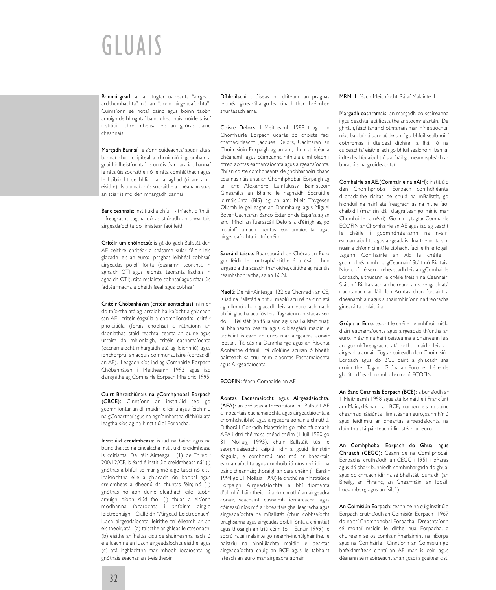## GLUAIS

Bonnairgead: ar a dtugtar uaireanta "airgead ardchumhachta" nó an "bonn airgeadaíochta". Cuimsíonn sé nótaí bainc agus boinn taobh amuigh de bhoghtaí bainc cheannais móide taiscí institiúid chreidmheasa leis an gcóras bainc cheannais.

Margadh Bannaí: eisíonn cuideachtaí agus rialtais bannaí chun caipiteal a chruinniú i gcomhair a gcuid infheistíochtaí Is urrúis úsmhara iad bannaí le ráta úis socraithe nó le ráta comhlúthach agus le haibíocht de bhliain ar a laghad (ó am a neisithe). Is bannaí ar ús socraithe a dhéanann suas an sciar is mó den mhargadh bannaí

Banc ceannais: institiúid a bhfuil - trí acht dlíthiúil - freagracht tugtha dó as stiúradh an bheartais airgeadaíochta do limistéar faoi leith.

Critéir um chóineasú: is gá do gach Ballstát den AE ceithre chritéar a shásamh sular féidir leis glacadh leis an euro: praghas leibhéal cobhsaí, airgeadas poiblí fónta (easnamh teoranta in aghaidh OTI agus leibhéal teoranta fiachais in aghaidh OTI), ráta malairte cobhsaí agus rátaí úis fadtéarmacha a bheith íseal agus cobhsaí.

Critéir Chóbanhávan (critéir aontachais): ní mór do thíortha atá ag iarraidh ballraíocht a ghlacadh san AE critéir éagsúla a chomhlíonadh: critéir pholaitiúla (forais chobhsaí a ráthaíonn an daonlathas, staid reachta, cearta an duine agus urraim do mhionlaigh, critéir eacnamaíochta (eacnamaíocht mhargaidh atá ag feidhmiú) agus ionchorprú an acquis communautaire (corpas dlí an AE). Leagadh síos iad ag Comhairle Eorpach Chóbanhávan i Meitheamh 1993 agus iad daingnithe ag Comhairle Eorpach Mhaidrid 1995.

Cúirt Bhreithiúnais na gComhphobal Eorpach (CBCE): Cinntíonn an institiúid seo go gcomhlíontar an dlí maidir le léiriú agus feidhmiú na gConarthaí agus na ngníomhartha dlíthiúla atá leagtha síos ag na hinstitiúidí Eorpacha.

Institiúid creidmheasa: is iad na bainc agus na bainc thaisce na cineálacha institiúidí creidmheasa is coitianta. De réir Airteagal 1(1) de Threoir 200/12/CE, is éard é institiúid creidmheasa ná "(i) gnóthas a bhfuil sé mar ghnó aige taiscí nó cistí inaisíochtha eile a ghlacadh ón bpobal agus creidmheas a dheonú dá chuntas féin; nó (ii) gnóthas nó aon duine dleathach eile, taobh amuigh díobh siúd faoi (i) thuas a eisíonn modhanna íocaíochta i bhfoirm airgid leictreonaigh. Ciallóidh "Airgead Leictreonach" luach airgeadaíochta, léirithe trí éileamh ar an eisitheoir, atá: (a) taiscthe ar ghléas leictreonach; (b) eisithe ar fháltas cistí de shuimeanna nach lú é a luach ná an luach airgeadaíochta eisithe: agus (c) atá inghlachtha mar mhodh íocaíochta ag gnóthais seachas an t-eisitheoir

Díbhoilsciú: próiseas ina dtiteann an praghas leibhéal ginearálta go leanúnach thar thréimhse shuntasach ama.

Coiste Delors: I Meitheamh 1988 thug an Chomhairle Eorpach údarás do choiste faoi chathaoirleacht Jacques Delors, Uachtarán an Choimisiúin Eorpaigh ag an am, chun staidéar a dhéanamh agus céimeanna nithiúla a mholadh i dtreo aontas eacnamaíochta agus airgeadaíochta. Bhí an coiste comhdhéanta de ghobharnóirí bhanc ceannas náisiúnta an Chomhphobail Eorpaigh ag an am; Alexandre Lamfalussy, Bainisteoir Ginearálta an Bhainc le haghaidh Socruithe Idirnáisiúnta (BIS) ag an am; Niels Thygesen Ollamh le geilleagar, an Danmhairg; agus Miguel Boyer Uachtarán Banco Exterior de España ag an am. Mhol an Tuarascáil Delors a d'éirigh as, go mbainfí amach aontas eacnamaíochta agus airgeadaíochta i dtrí chéim.

Saoráid taisce: Buansaoráid de Chóras an Euro gur féidir le contrapháirtithe é a úsáid chun airgead a thaisceadh thar oíche, cúitithe ag ráta úis réamhshonraithe, ag an BCN.

Maolú: De réir Airteagal 122 de Chonradh an CE, is iad na Ballstáit a bhfuil maolú acu ná na cinn atá ag ullmhú chun glacadh leis an euro ach nach bhfuil glactha acu fós leis. Tagraíonn an stádas seo do 11 Ballstát (an tSualainn agus na Ballstáit nua): ní bhaineann cearta agus oibleagáidí maidir le tabhairt isteach an euro mar airgeadra aonair leosan. Tá cás na Danmhairge agus an Ríochta Aontaithe difriúil: tá díolúine acusan ó bheith páirteach sa tríú céim d'aontas Eacnamaíochta agus Airgeadaíochta.

#### ECOFIN: féach Comhairle an AE

Aontas Eacnamaíocht agus Airgeadaíochta. (AEA): an próiseas a threoraíonn na Ballstáit AE a mbeartais eacnamaíochta agus airgeadaíochta a chomhchuibhiú agus airgeadra aonair a chruthú. D'fhoráil Conradh Maastricht go mbainfí amach AEA i dtrí chéim: sa chéad chéim (1 Iúil 1990 go 31 Nollaig 1993), chuir Ballstáit tús le saorghluaiseacht caipitil idir a gcuid limistéir éagsúla, le comhordú níos mó ar bheartais eacnamaíochta agus comhoibriú níos mó idir na bainc cheannais; thosaigh an dara chéim (1 Eanáir 1994 go 31 Nollaig 1998) le cruthú na hInstitiúide Eorpaigh Airgeadaíochta a bhí tiomanta d'ullmhúcháin theicniúla do chruthú an airgeadra aonair, seachaint easnaimh iomarcacha, agus cóineasú níos mó ar bheartais gheilleagracha agus airgeadaíochta na mBallstát (chun cobhsaíocht praghsanna agus airgeadas poiblí fónta a chinntiú) agus thosaigh an tríú céim (ó 1 Eanáir 1999) le socrú rátaí malairte go neamh-inchúlghairthe, le haistriú na hinniúlachta maidir le beartas airgeadaíochta chuig an BCE agus le tabhairt isteach an euro mar airgeadra aonair.

MRM II: féach Meicníocht Rátaí Malairte II.

Margadh cothramais: an margadh do scaireanna i gcuideachtaí atá liostaithe ar stocmhalartán. De ghnáth, féachtar ar chothramais mar infheistíochtaí níos baolaí ná bannaí, de bhrí go bhfuil sealbhóirí cothromas i dteideal díbhinn a fháil ó na cuideachtaí eisithe, ach go bhfuil sealbhóirí bannaí i dteideal íocaíocht úis a fháil go neamhspleách ar bhrabúis na gcuideachtaí.

Comhairle an AE.(Comhairle na nAirí): institiúid den Chomhphobal Eorpach comhdhéanta d'ionadaithe rialtas de chuid na mBallstát, go hiondúil na hairí atá freagrach as na nithe faoi chaibidil (mar sin dá dtagraítear go minic mar Chomhairle na nAirí). Go minic, tugtar Comhairle ECOFIN ar Chomhairle an AE agus iad ag teacht le chéile i gcomhdhéanamh na n-airí eacnamaíochta agus airgeadais. Ina theannta sin, nuair a bhíonn cinntí le tábhacht faoi leith le tógáil, tagann Comhairle an AE le chéile i gcomhdhéanamh na gCeannairí Stáit nó Rialtais. Níor chóir é seo a mheascadh leis an gComhairle Eorpach, a thugann le chéile freisin na Ceannairí Stáit nó Rialtais ach a chuireann an spreagadh atá riachtanach ar fáil don Aontas chun forbairt a dhéanamh air agus a shainmhíníonn na treoracha ginearálta polaitiúla.

Grúpa an Euro: teacht le chéile neamhfhoirmiúla d'airí eacnamaíochta agus airgeadais thíortha an euro. Pléann na hairí ceisteanna a bhaineann leis an gcomhfhreagracht atá orthu maidir leis an airgeadra aonair. Tugtar cuireadh don Choimisiún Eorpach agus do BCE páirt a ghlacadh sna cruinnithe. Tagann Grúpa an Euro le chéile de ghnáth díreach roimh chruinniú ECOFIN.

An Banc Ceannais Eorpach (BCE): a bunaíodh ar 1 Meitheamh 1998 agus atá lonnaithe i Frankfurt am Main, déanann an BCE, maraon leis na bainc cheannais náisiúnta i limistéar an euro, sainmhíniú agus feidhmiú ar bheartas airgeadaíochta na dtíortha atá páirteach i limistéar an euro.

An Comhphobal Eorpach do Ghual agus Chruach (CEGC): Ceann de na Comhphobail Eorpacha, cruthaíodh an CEGC i 1951 i bPáras agus dá bharr bunaíodh comhmhargadh do ghual agus do chruach idir na sé bhallstát bunaidh (an Bheilg, an Fhrainc, an Ghearmáin, an Iodáil, Lucsamburg agus an Ísiltír).

An Coimisiún Eorpach: ceann de na cúig institiúid Eorpach, cruthaíodh an Coimisiún Eorpach i 1967 do na trí Chomhphobal Eorpacha. Dréachtaíonn sé moltaí maidir le dlíthe nua Eorpacha, a chuireann sé os comhair Pharlaimint na hEorpa agus na Comhairle. Cinntíonn an Coimisiún go bhfeidhmítear cinntí an AE mar is cóir agus déanann sé maoirseacht ar an gcaoi a gcaitear cistí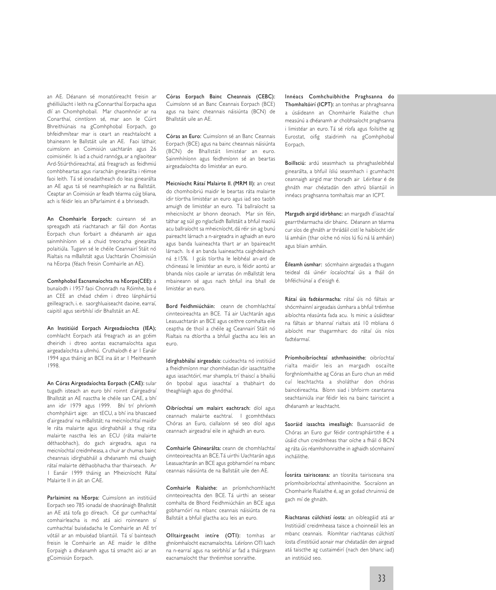an AE. Déanann sé monatóireacht freisin ar ghéilliúlacht i leith na gConnarthaí Eorpacha agus dlí an Chomhphobail. Mar chaomhnóir ar na Conarthaí, cinntíonn sé, mar aon le Cúirt Bhreithiúnais na gComhphobal Eorpach, go bhfeidhmítear mar is ceart an reachtaíocht a bhaineann le Ballstáit uile an AE. Faoi láthair, cuimsíonn an Coimisiún uachtarán agus 26 coimisinéir. Is iad a chuid rannóga, ar a nglaoitear Ard-Stiúrthóireachtaí, atá freagrach as feidhmiú comhbheartas agus riarachán ginearálta i réimse faoi leith. Tá sé ionadaitheach do leas ginearálta an AE agus tá sé neamhspleách ar na Ballstáit. Ceaptar an Coimisiún ar feadh téarma cúig bliana, ach is féidir leis an bParlaimint é a bhriseadh.

An Chomhairle Eorpach: cuireann sé an spreagadh atá riachtanach ar fáil don Aontas Eorpach chun forbairt a dhéanamh air agus sainmhíníonn sé a chuid treoracha ginearálta polaitiúla. Tugann sé le chéile Ceannairí Stáit nó Rialtais na mBallstát agus Uachtarán Choimisiún na hEorpa (féach freisin Comhairle an AE).

Comhphobal Eacnamaíochta na hEorpa(CEE): a bunaíodh i 1957 faoi Chonradh na Róimhe, ba é an CEE an chéad chéim i dtreo lánpháirtiú geilleagrach, i. e. saorghluaiseacht daoine, earraí, caipitil agus seirbhísí idir Bhallstáit an AE.

An Institiúid Eorpach Airgeadaíochta (IEA); comhlacht Eorpach atá freagrach as an gcéim dheiridh i dtreo aontas eacnamaíochta agus airgeadaíochta a ullmhú. Cruthaíodh é ar 1 Eanáir 1994 agus tháinig an BCE ina áit ar 1 Meitheamh 1998.

An Córas Airgeadaíochta Eorpach (CAE): sular tugadh isteach an euro bhí roinnt d'airgeadraí Bhallstát an AE nasctha le chéile san CAE, a bhí ann idir 1979 agus 1999. Bhí trí phríomh chomhpháirt aige: an tECU, a bhí ina bhascaed d'airgeadraí na mBallstát; na meicníochtaí maidir le ráta malairte agus idirghabháil a thug ráta malairte nasctha leis an ECU (ráta malairte déthaobhach), do gach airgeadra, agus na meicníochtaí creidmheasa, a chuir ar chumas bainc cheannais idirghabháil a dhéanamh má chuaigh rátaí malairte déthaobhacha thar thairseach. Ar 1 Eanáir 1999 tháinig an Mheicníocht Rátaí Malairte II in áit an CAE.

Parlaimint na hEorpa: Cuimsíonn an institiúid Eorpach seo 785 ionadaí de shaoránaigh Bhallstát an AE atá tofa go díreach. Cé gur cumhachtaí comhairleacha is mó atá aici roinneann sí cumhachtaí buiséadacha le Comhairle an AE trí vótáil ar an mbuiséad bliantúil. Tá sí bainteach freisin le Comhairle an AE maidir le dlíthe Eorpaigh a dhéanamh agus tá smacht aici ar an gCoimisiún Eorpach.

Córas Eorpach Bainc Cheannais (CEBC): Cuimsíonn sé an Banc Ceannais Eorpach (BCE) agus na bainc cheannais náisiúnta (BCN) de Bhallstáit uile an AE.

Córas an Euro: Cuimsíonn sé an Banc Ceannais Eorpach (BCE) agus na bainc cheannais náisiúnta (BCN) de Bhallstáit limistéar an euro. Sainmhíníonn agus feidhmíonn sé an beartas airgeadaíochta do limistéar an euro.

Meicníocht Rátaí Malairte II. (MRM II): an creat do chomhoibriú maidir le beartas ráta malairte idir tíortha limistéar an euro agus iad seo taobh amuigh de limistéar an euro. Tá ballraíocht sa mheicníocht ar bhonn deonach. Mar sin féin, táthar ag súil go nglacfaidh Ballstáit a bhfuil maolú acu ballraíocht sa mheicníocht, dá réir sin ag bunú paireacht lárnach a n-airgeadra in aghaidh an euro agus banda luaineachta thart ar an bpaireacht lárnach. Is é an banda luaineachta caighdeánach ná ±15%. I gcás tíortha le leibhéal an-ard de chóineasú le limistéar an euro, is féidir aontú ar bhanda níos caoile ar iarratas ón mBallstát lena mbaineann sé agus nach bhfuil ina bhall de limistéar an euro.

Bord Feidhmiúcháin: ceann de chomhlachtaí cinnteoireachta an BCE. Tá air Uachtarán agus Leasuachtarán an BCE agus ceithre comhalta eile ceaptha de thoil a chéile ag Ceannairí Stáit nó Rialtais na dtíortha a bhfuil glactha acu leis an euro.

Idirghabhálaí airgeadais: cuideachta nó institiúid a fheidhmíonn mar chomhéadan idir iasachtaithe agus iasachtóirí, mar shampla, trí thaiscí a bhailiú ón bpobal agus iasachtaí a thabhairt do theaghlaigh agus do ghnóthaí.

Oibríochtaí um malairt eachtrach: díol agus ceannach malairte eachtraí. I gcomhthéacs Chóras an Euro, ciallaíonn sé seo díol agus ceannach airgeadraí eile in aghaidh an euro.

Comhairle Ghinearálta: ceann de chomhlachtaí cinnteoireachta an BCE.Tá uirthi Uachtarán agus Leasuachtarán an BCE agus gobharnóirí na mbanc ceannais náisiúnta de na Ballstáit uile den AE.

Comhairle Rialaithe: an príomhchomhlacht cinnteoireachta den BCE. Tá uirthi an seisear comhalta de Bhord Feidhmiúcháin an BCE agus gobharnóirí na mbanc ceannais náisiúnta de na Ballstáit a bhfuil glactha acu leis an euro.

Olltairgeacht intíre (OTI): tomhas ar ghníomhaíocht eacnamaíochta. Léiríonn OTI luach na n-earraí agus na seirbhísí ar fad a tháirgeann eacnamaíocht thar thréimhse sonraithe.

Innéacs Comhchuibhithe Praghsanna do Thomhaltóirí (ICPT): an tomhas ar phraghsanna a úsáideann an Chomhairle Rialaithe chun measúnú a dhéanamh ar chobhsaíocht praghsanna i limistéar an euro. Tá sé ríofa agus foilsithe ag Eurostat, oifig staidrimh na gComhphobal Eorpach.

Boillsciú: ardú seasmhach sa phraghasleibhéal ginearálta, a bhfuil ísliú seasmhach i gcumhacht ceannaigh airgid mar thoradh air Léirítear é de ghnáth mar chéatadán den athrú bliantúil in innéacs praghsanna tomhaltais mar an ICPT.

Margadh airgid idirbhanc: an margadh d'iasachtaí gearrthéarmacha idir bhainc. Déanann an téarma cur síos de ghnáth ar thrádáil cistí le haibíocht idir lá amháin (thar oíche nó níos lú fiú ná lá amháin) agus bliain amháin.

Éileamh úsmhar: sócmhainn airgeadais a thugann teideal dá úinéir íocaíochtaí úis a fháil ón bhféichiúnaí a d'eisigh é.

Rátaí úis fadtéarmacha: rátaí úis nó fáltais ar shócmhainní airgeadais úsmhara a bhfuil tréimhse aibíochta réasúnta fada acu. Is minic a úsáidtear na fáltais ar bhannaí rialtais atá 10 mbliana ó aibíocht mar thagarmharc do rátaí úis níos fadtéarmaí.

Príomhoibríochtaí athmhaoinithe: oibríochtaí rialta maidir leis an margadh oscailte forghníomhaithe ag Córas an Euro chun an méid cuí leachtachta a sholáthar don chóras baincéireachta. Bíonn siad i bhfoirm ceantanna seachtainiúla inar féidir leis na bainc tairiscint a dhéanamh ar leachtacht.

Saoráid iasachta imeallaigh: Buansaoráid de Chóras an Euro gur féidir contrapháirtithe é a úsáid chun creidmheas thar oíche a fháil ó BCN ag ráta úis réamhshonraithe in aghaidh sócmhainní incháilithe.

Íosráta tairisceana: an tíosráta tairisceana sna príomhoibríochtaí athmhaoinithe. Socraíonn an Chomhairle Rialaithe é, ag an gcéad chruinniú de gach mí de ghnáth.

Riachtanas cúlchistí íosta: an oibleagáid atá ar Institiúidí creidmheasa taisce a choinneáil leis an mbanc ceannais. Ríomhtar riachtanas cúlchistí íosta d'institiúid aonair mar chéatadán den airgead atá taiscthe ag custaiméirí (nach den bhanc iad) an institiúid seo.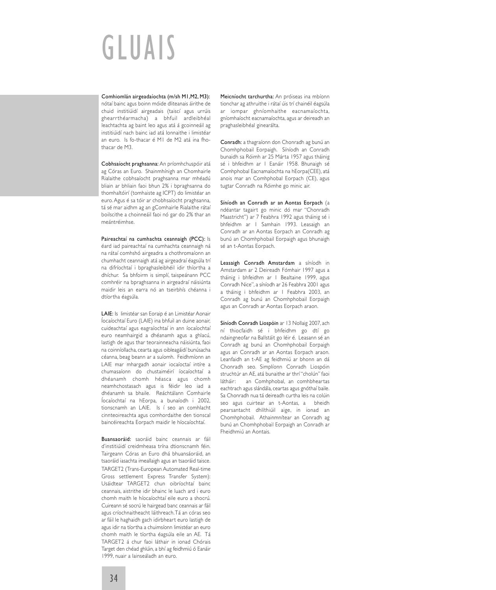# GLUAIS

Comhiomlán airgeadaíochta (m/sh M1,M2, M3): nótaí bainc agus boinn móide dliteanais áirithe de chuid institiúidí airgeadais (taiscí agus urrúis ghearrthéarmacha) a bhfuil ardleibhéal leachtachta ag baint leo agus atá á gcoinneáil ag institiúidí nach bainc iad atá lonnaithe i limistéar an euro. Is fo-thacar é M1 de M2 atá ina fhothacar de M3.

Cobhsaíocht praghsanna: An príomhchuspóir atá ag Córas an Euro. Shainmhínigh an Chomhairle Rialaithe cobhsaíocht praghsanna mar mhéadú bliain ar bhliain faoi bhun 2% i bpraghsanna do thomhaltóirí (tomhaiste ag ICPT) do limistéar an euro. Agus é sa tóir ar chobhsaíocht praghsanna, tá sé mar aidhm ag an gComhairle Rialaithe rátaí boilscithe a choinneáil faoi nó gar do 2% thar an meántréimhse.

Paireachtaí na cumhachta ceannaigh (PCC): Is éard iad paireachtaí na cumhachta ceannaigh ná na rátaí comhshó airgeadra a chothromaíonn an chumhacht ceannaigh atá ag airgeadraí éagsúla trí na difríochtaí i bpraghasleibhéil idir thíortha a dhíchur. Sa bhfoirm is simplí, taispeánann PCC comhréir na bpraghsanna in airgeadraí náisiúnta maidir leis an earra nó an tseirbhís chéanna i dtíortha éagsúla.

LAIE: Is limistéar san Eoraip é an Limistéar Aonair Íocaíochtaí Euro (LAIE) ina bhfuil an duine aonair, cuideachtaí agus eagraíochtaí in ann íocaíochtaí euro neamhairgid a dhéanamh agus a ghlacú, lastigh de agus thar teorainneacha náisiúnta, faoi na coinníollacha, cearta agus oibleagáidí bunúsacha céanna, beag beann ar a suíomh. Feidhmíonn an LAIE mar mhargadh aonair iocaíoctaí intíre a chumasaíonn do chustaiméirí íocaíochtaí a dhéanamh chomh héasca agus chomh neamhchostasach agus is féidir leo iad a dhéanamh sa bhaile. Reáchtálann Comhairle Íocaíochtaí na hEorpa, a bunaíodh i 2002, tionscnamh an LAIE. Is í seo an comhlacht cinnteoireachta agus comhordaithe den tionscal baincéireachta Eorpach maidir le híocaíochtaí.

Buansaoráid: saoráid bainc ceannais ar fáil d'institiúidí creidmheasa trína dtionscnamh féin. Tairgeann Córas an Euro dhá bhuansáoráid, an tsaoráid iasachta imeallaigh agus an tsaoráid taisce. TARGET2 (Trans-European Automated Real-time Gross settlement Express Transfer System): Usáidtear TARGET2 chun oibríochtaí bainc ceannais, aistrithe idir bhainc le luach ard i euro chomh maith le híocaíochtaí eile euro a shocrú. Cuireann sé socrú le hairgead banc ceannais ar fáil agus críochnaitheacht láithreach.Tá an córas seo ar fáil le haghaidh gach idirbheart euro lastigh de agus idir na tíortha a chuimsíonn limistéar an euro chomh maith le tíortha éagsúla eile an AE. Tá TARGET2 á chur faoi láthair in ionad Chórais Target den chéad ghlúin, a bhí ag feidhmiú ó Eanáir 1999, nuair a lainseáladh an euro.

Meicníocht tarchurtha: An próiseas ina mbíonn tionchar ag athruithe i rátaí úis trí chainéil éagsúla ar iompar ghníomhaithe eacnamaíochta, gníomhaíocht eacnamaíochta, agus ar deireadh an praghasleibhéal ginearálta.

Conradh: a thagraíonn don Chonradh ag bunú an Chomhphobail Eorpaigh. Síníodh an Conradh bunaidh sa Róimh ar 25 Márta 1957 agus tháinig sé i bhfeidhm ar 1 Eanáir 1958. Bhunaigh sé Comhphobal Eacnamaíochta na hEorpa(CEE), atá anois mar an Comhphobal Eorpach (CE), agus tugtar Conradh na Róimhe go minic air.

Síníodh an Conradh ar an Aontas Eorpach (a ndéantar tagairt go minic dó mar "Chonradh Maastricht") ar 7 Feabhra 1992 agus tháinig sé i bhfeidhm ar 1 Samhain 1993. Leasaigh an Conradh ar an Aontas Eorpach an Conradh ag bunú an Chomhphobail Eorpaigh agus bhunaigh sé an t-Aontas Eorpach.

Leasaigh Conradh Amstardam a síníodh in Amstardam ar 2 Deireadh Fómhair 1997 agus a tháinig i bhfeidhm ar 1 Bealtaine 1999, agus Conradh Nice", a síníodh ar 26 Feabhra 2001 agus a tháinig i bhfeidhm ar 1 Feabhra 2003, an Conradh ag bunú an Chomhphobail Eorpaigh agus an Conradh ar Aontas Eorpach araon.

Síníodh Conradh Liospóin ar 13 Nollaig 2007, ach ní thiocfaidh sé i bhfeidhm go dtí go ndaingneofar na Ballstáit go léir é. Leasann sé an Conradh ag bunú an Chomhphobail Eorpaigh agus an Conradh ar an Aontas Eorpach araon. Leanfaidh an t-AE ag feidhmiú ar bhonn an dá Chonradh seo. Simplíonn Conradh Liospóin struchtúr an AE, atá bunaithe ar thrí"cholún" faoi látháir: an Comhphobal, an comhbheartas eachtrach agus slándála, ceartas agus gnóthaí baile. Sa Chonradh nua tá deireadh curtha leis na colúin seo agus cuirtear an t-Aontas, a bheidh pearsantacht dhlíthiúil aige, in ionad an Chomhphobail. Athainmnítear an Conradh ag bunú an Chomhphobail Eorpaigh an Conradh ar Fheidhmiú an Aontais.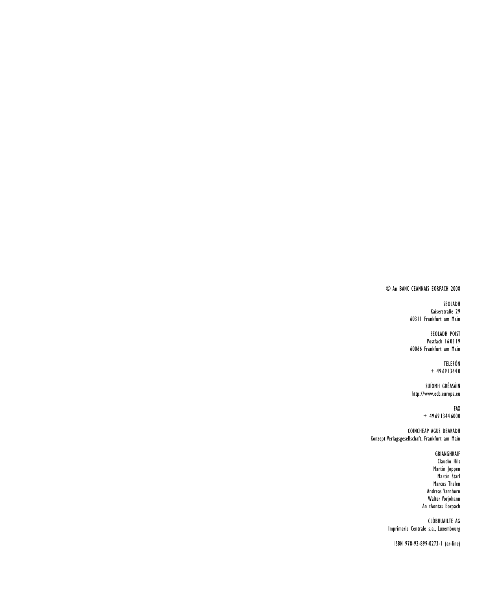#### © An BANC CEANNAIS EORPACH 2008

#### SEOLADH Kaiserstraße 29 60311 Frankfurt am Main

SEOLADH POIST Postfach 160319 60066 Frankfurt am Main

> TELEFÓN + 496913440

SUÍOMH GRÉASÁIN http://www.ecb.europa.eu

> FAX + 496913446000

COINCHEAP AGUS DEARADH Konzept Verlagsgesellschaft, Frankfurt am Main

> GRIANGHRAIF Claudio Hils Martin Joppen Martin Starl Marcus Thelen Andreas Varnhorn Walter Vorjohann An tAontas Eorpach

CLÓBHUAILTE AG Imprimerie Centrale s.a., Luxembourg

ISBN 978-92-899-0273-1 (ar-líne)